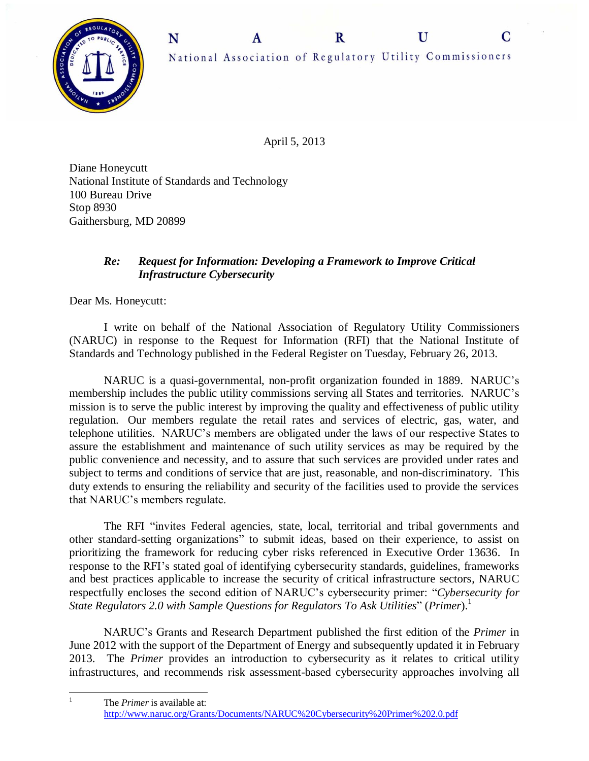National Association of Regulatory Utility Commissioners

C

April 5, 2013

Diane Honeycutt National Institute of Standards and Technology 100 Bureau Drive Stop 8930 Gaithersburg, MD 20899

N

# *Re: Request for Information: Developing a Framework to Improve Critical Infrastructure Cybersecurity*

Dear Ms. Honeycutt:

I write on behalf of the National Association of Regulatory Utility Commissioners (NARUC) in response to the Request for Information (RFI) that the National Institute of Standards and Technology published in the Federal Register on Tuesday, February 26, 2013.

NARUC is a quasi-governmental, non-profit organization founded in 1889. NARUC's membership includes the public utility commissions serving all States and territories. NARUC's mission is to serve the public interest by improving the quality and effectiveness of public utility regulation. Our members regulate the retail rates and services of electric, gas, water, and telephone utilities. NARUC's members are obligated under the laws of our respective States to assure the establishment and maintenance of such utility services as may be required by the public convenience and necessity, and to assure that such services are provided under rates and subject to terms and conditions of service that are just, reasonable, and non-discriminatory. This duty extends to ensuring the reliability and security of the facilities used to provide the services that NARUC's members regulate.

The RFI "invites Federal agencies, state, local, territorial and tribal governments and other standard-setting organizations" to submit ideas, based on their experience, to assist on prioritizing the framework for reducing cyber risks referenced in Executive Order 13636. In response to the RFI's stated goal of identifying cybersecurity standards, guidelines, frameworks and best practices applicable to increase the security of critical infrastructure sectors, NARUC respectfully encloses the second edition of NARUC's cybersecurity primer: "*Cybersecurity for State Regulators 2.0 with Sample Questions for Regulators To Ask Utilities*" (*Primer*).<sup>1</sup>

NARUC's Grants and Research Department published the first edition of the *Primer* in June 2012 with the support of the Department of Energy and subsequently updated it in February 2013. The *Primer* provides an introduction to cybersecurity as it relates to critical utility infrastructures, and recommends risk assessment-based cybersecurity approaches involving all

 $\,1$ The *Primer* is available at: <http://www.naruc.org/Grants/Documents/NARUC%20Cybersecurity%20Primer%202.0.pdf>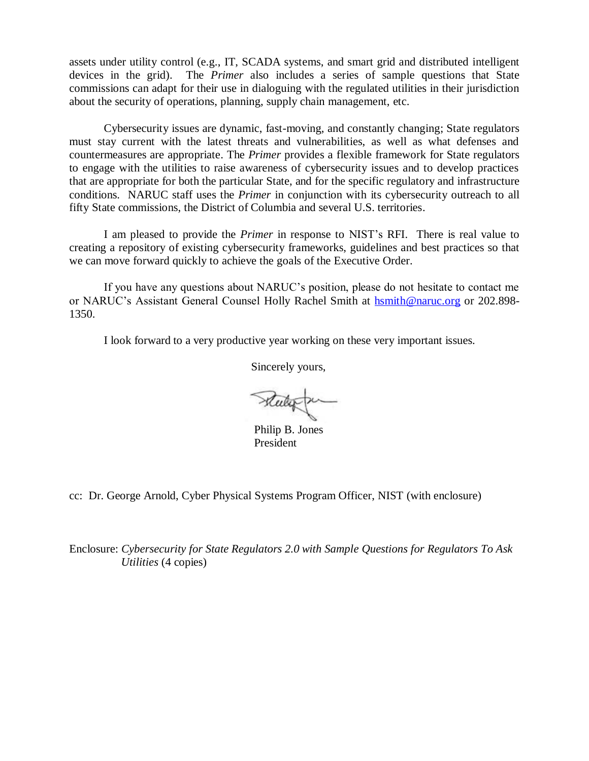assets under utility control (e.g., IT, SCADA systems, and smart grid and distributed intelligent devices in the grid). The *Primer* also includes a series of sample questions that State commissions can adapt for their use in dialoguing with the regulated utilities in their jurisdiction about the security of operations, planning, supply chain management, etc.

Cybersecurity issues are dynamic, fast-moving, and constantly changing; State regulators must stay current with the latest threats and vulnerabilities, as well as what defenses and countermeasures are appropriate. The *Primer* provides a flexible framework for State regulators to engage with the utilities to raise awareness of cybersecurity issues and to develop practices that are appropriate for both the particular State, and for the specific regulatory and infrastructure conditions. NARUC staff uses the *Primer* in conjunction with its cybersecurity outreach to all fifty State commissions, the District of Columbia and several U.S. territories.

I am pleased to provide the *Primer* in response to NIST's RFI. There is real value to creating a repository of existing cybersecurity frameworks, guidelines and best practices so that we can move forward quickly to achieve the goals of the Executive Order.

If you have any questions about NARUC's position, please do not hesitate to contact me or NARUC's Assistant General Counsel Holly Rachel Smith at [hsmith@naruc.org](mailto:hsmith@naruc.org) or 202.898- 1350.

I look forward to a very productive year working on these very important issues.

Sincerely yours,

Ruting

 Philip B. Jones President

cc: Dr. George Arnold, Cyber Physical Systems Program Officer, NIST (with enclosure)

Enclosure: *Cybersecurity for State Regulators 2.0 with Sample Questions for Regulators To Ask Utilities* (4 copies)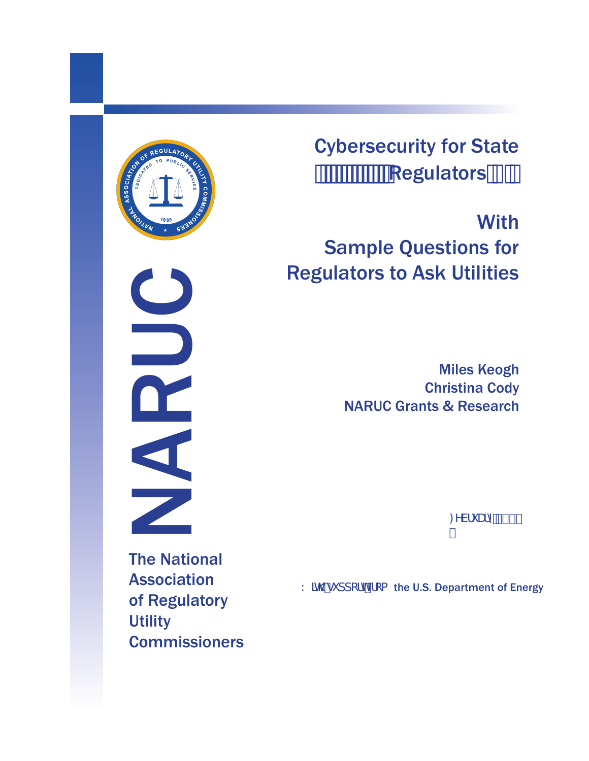

NARUC

Cybersecurity for State **Regulators &'\$** 

**With** Sample Questions for Regulators to Ask Utilities

> Miles Keogh Christina Cody NARUC Grants & Research

> > : YVfi Ufm&\$%

j

The National Association of Regulatory **Utility Commissioners** 

K ]h gi ddcfhZfca the U.S. Department of Energy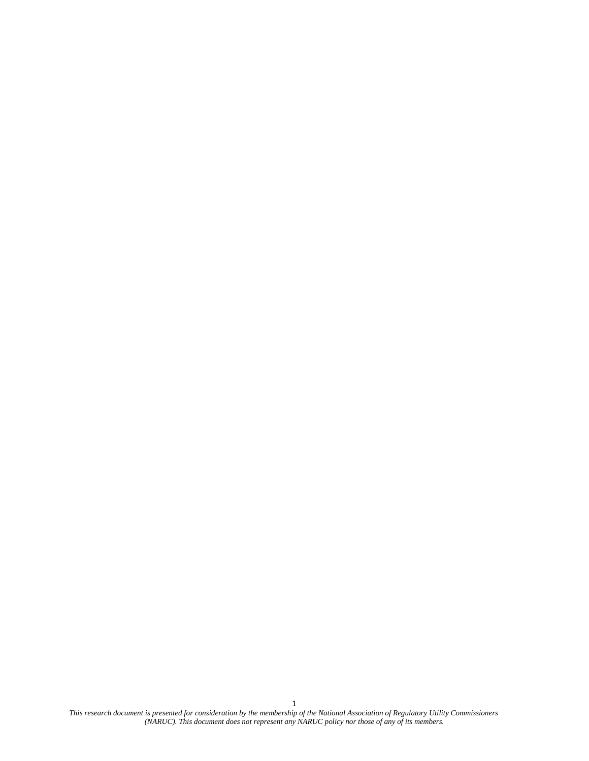*This research document is presented for consideration by the membership of the National Association of Regulatory Utility Commissioners (NARUC). This document does not represent any NARUC policy nor those of any of its members.*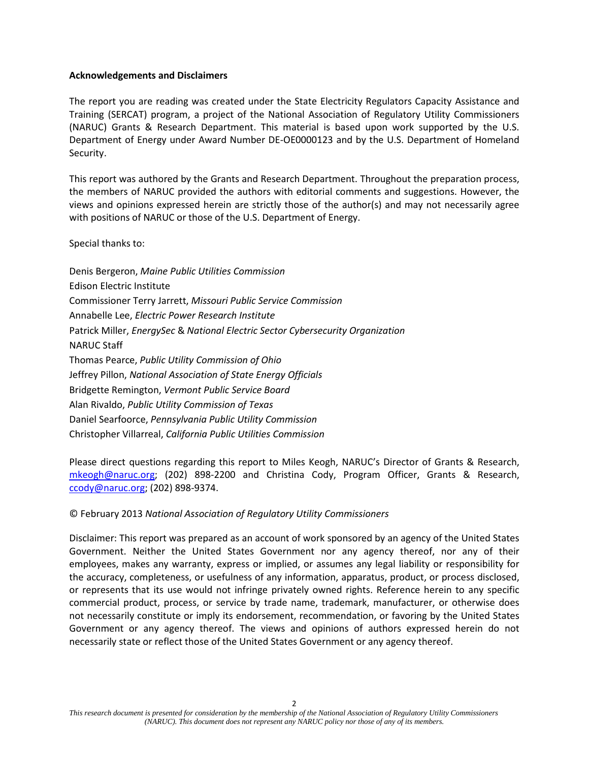### **Acknowledgements and Disclaimers**

The report you are reading was created under the State Electricity Regulators Capacity Assistance and Training (SERCAT) program, a project of the National Association of Regulatory Utility Commissioners (NARUC) Grants & Research Department. This material is based upon work supported by the U.S. Department of Energy under Award Number DE-OE0000123 and by the U.S. Department of Homeland Security.

This report was authored by the Grants and Research Department. Throughout the preparation process, the members of NARUC provided the authors with editorial comments and suggestions. However, the views and opinions expressed herein are strictly those of the author(s) and may not necessarily agree with positions of NARUC or those of the U.S. Department of Energy.

Special thanks to:

Denis Bergeron, *Maine Public Utilities Commission* Edison Electric Institute Commissioner Terry Jarrett, *Missouri Public Service Commission* Annabelle Lee, *Electric Power Research Institute* Patrick Miller, *EnergySec* & *National Electric Sector Cybersecurity Organization* NARUC Staff Thomas Pearce, *Public Utility Commission of Ohio* Jeffrey Pillon, *National Association of State Energy Officials* Bridgette Remington, *Vermont Public Service Board* Alan Rivaldo, *Public Utility Commission of Texas* Daniel Searfoorce, *Pennsylvania Public Utility Commission* Christopher Villarreal, *California Public Utilities Commission*

Please direct questions regarding this report to Miles Keogh, NARUC's Director of Grants & Research, [mkeogh@naruc.org;](mailto:mkeogh@naruc.org) (202) 898-2200 and Christina Cody, Program Officer, Grants & Research, [ccody@naruc.org;](mailto:ccody@naruc.org) (202) 898-9374.

# © February 2013 *National Association of Regulatory Utility Commissioners*

Disclaimer: This report was prepared as an account of work sponsored by an agency of the United States Government. Neither the United States Government nor any agency thereof, nor any of their employees, makes any warranty, express or implied, or assumes any legal liability or responsibility for the accuracy, completeness, or usefulness of any information, apparatus, product, or process disclosed, or represents that its use would not infringe privately owned rights. Reference herein to any specific commercial product, process, or service by trade name, trademark, manufacturer, or otherwise does not necessarily constitute or imply its endorsement, recommendation, or favoring by the United States Government or any agency thereof. The views and opinions of authors expressed herein do not necessarily state or reflect those of the United States Government or any agency thereof.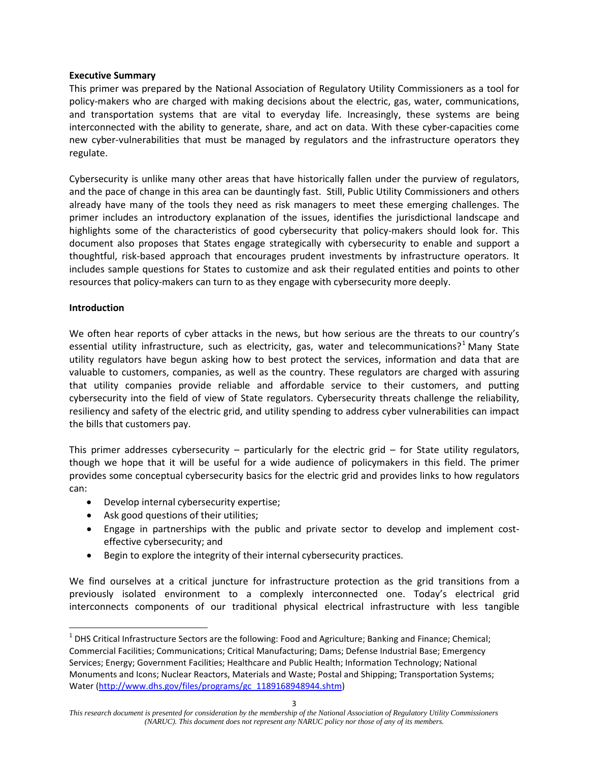### **Executive Summary**

This primer was prepared by the National Association of Regulatory Utility Commissioners as a tool for policy-makers who are charged with making decisions about the electric, gas, water, communications, and transportation systems that are vital to everyday life. Increasingly, these systems are being interconnected with the ability to generate, share, and act on data. With these cyber-capacities come new cyber-vulnerabilities that must be managed by regulators and the infrastructure operators they regulate.

Cybersecurity is unlike many other areas that have historically fallen under the purview of regulators, and the pace of change in this area can be dauntingly fast. Still, Public Utility Commissioners and others already have many of the tools they need as risk managers to meet these emerging challenges. The primer includes an introductory explanation of the issues, identifies the jurisdictional landscape and highlights some of the characteristics of good cybersecurity that policy-makers should look for. This document also proposes that States engage strategically with cybersecurity to enable and support a thoughtful, risk-based approach that encourages prudent investments by infrastructure operators. It includes sample questions for States to customize and ask their regulated entities and points to other resources that policy-makers can turn to as they engage with cybersecurity more deeply.

### **Introduction**

We often hear reports of cyber attacks in the news, but how serious are the threats to our country's essential utility infrastructure, such as electricity, gas, water and telecommunications?<sup>[1](#page-5-0)</sup> Many State utility regulators have begun asking how to best protect the services, information and data that are valuable to customers, companies, as well as the country. These regulators are charged with assuring that utility companies provide reliable and affordable service to their customers, and putting cybersecurity into the field of view of State regulators. Cybersecurity threats challenge the reliability, resiliency and safety of the electric grid, and utility spending to address cyber vulnerabilities can impact the bills that customers pay.

This primer addresses cybersecurity – particularly for the electric grid – for State utility regulators, though we hope that it will be useful for a wide audience of policymakers in this field. The primer provides some conceptual cybersecurity basics for the electric grid and provides links to how regulators can:

- Develop internal cybersecurity expertise;
- Ask good questions of their utilities;
- Engage in partnerships with the public and private sector to develop and implement costeffective cybersecurity; and
- Begin to explore the integrity of their internal cybersecurity practices.

We find ourselves at a critical juncture for infrastructure protection as the grid transitions from a previously isolated environment to a complexly interconnected one. Today's electrical grid interconnects components of our traditional physical electrical infrastructure with less tangible

<span id="page-5-0"></span><sup>&</sup>lt;sup>1</sup> DHS Critical Infrastructure Sectors are the following: Food and Agriculture; Banking and Finance; Chemical; Commercial Facilities; Communications; Critical Manufacturing; Dams; Defense Industrial Base; Emergency Services; Energy; Government Facilities; Healthcare and Public Health; Information Technology; National Monuments and Icons; Nuclear Reactors, Materials and Waste; Postal and Shipping; Transportation Systems; Water [\(http://www.dhs.gov/files/programs/gc\\_1189168948944.shtm\)](http://www.dhs.gov/files/programs/gc_1189168948944.shtm)

*This research document is presented for consideration by the membership of the National Association of Regulatory Utility Commissioners (NARUC). This document does not represent any NARUC policy nor those of any of its members.*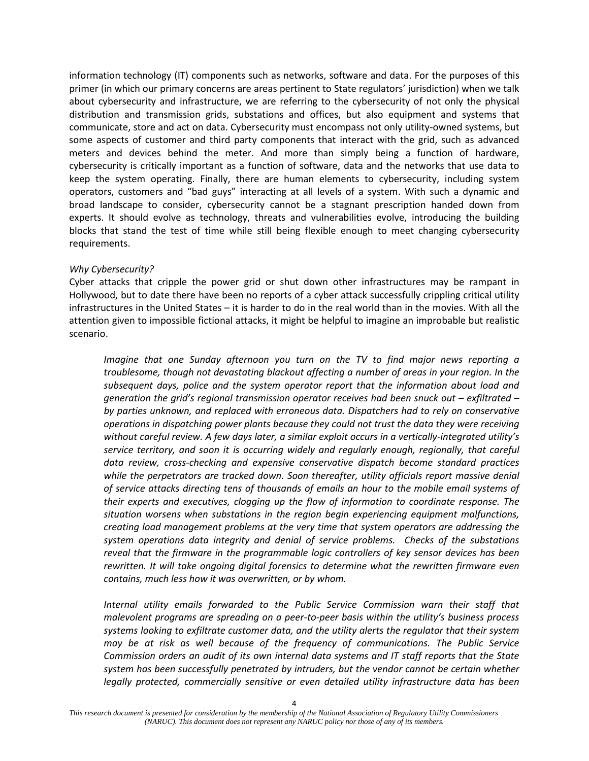information technology (IT) components such as networks, software and data. For the purposes of this primer (in which our primary concerns are areas pertinent to State regulators' jurisdiction) when we talk about cybersecurity and infrastructure, we are referring to the cybersecurity of not only the physical distribution and transmission grids, substations and offices, but also equipment and systems that communicate, store and act on data. Cybersecurity must encompass not only utility-owned systems, but some aspects of customer and third party components that interact with the grid, such as advanced meters and devices behind the meter. And more than simply being a function of hardware, cybersecurity is critically important as a function of software, data and the networks that use data to keep the system operating. Finally, there are human elements to cybersecurity, including system operators, customers and "bad guys" interacting at all levels of a system. With such a dynamic and broad landscape to consider, cybersecurity cannot be a stagnant prescription handed down from experts. It should evolve as technology, threats and vulnerabilities evolve, introducing the building blocks that stand the test of time while still being flexible enough to meet changing cybersecurity requirements.

### *Why Cybersecurity?*

Cyber attacks that cripple the power grid or shut down other infrastructures may be rampant in Hollywood, but to date there have been no reports of a cyber attack successfully crippling critical utility infrastructures in the United States – it is harder to do in the real world than in the movies. With all the attention given to impossible fictional attacks, it might be helpful to imagine an improbable but realistic scenario.

*Imagine that one Sunday afternoon you turn on the TV to find major news reporting a troublesome, though not devastating blackout affecting a number of areas in your region. In the subsequent days, police and the system operator report that the information about load and generation the grid's regional transmission operator receives had been snuck out – exfiltrated – by parties unknown, and replaced with erroneous data. Dispatchers had to rely on conservative operations in dispatching power plants because they could not trust the data they were receiving without careful review. A few days later, a similar exploit occurs in a vertically-integrated utility's service territory, and soon it is occurring widely and regularly enough, regionally, that careful data review, cross-checking and expensive conservative dispatch become standard practices while the perpetrators are tracked down. Soon thereafter, utility officials report massive denial of service attacks directing tens of thousands of emails an hour to the mobile email systems of their experts and executives, clogging up the flow of information to coordinate response. The situation worsens when substations in the region begin experiencing equipment malfunctions, creating load management problems at the very time that system operators are addressing the system operations data integrity and denial of service problems. Checks of the substations reveal that the firmware in the programmable logic controllers of key sensor devices has been rewritten. It will take ongoing digital forensics to determine what the rewritten firmware even contains, much less how it was overwritten, or by whom.* 

*Internal utility emails forwarded to the Public Service Commission warn their staff that malevolent programs are spreading on a peer-to-peer basis within the utility's business process systems looking to exfiltrate customer data, and the utility alerts the regulator that their system may be at risk as well because of the frequency of communications. The Public Service Commission orders an audit of its own internal data systems and IT staff reports that the State system has been successfully penetrated by intruders, but the vendor cannot be certain whether legally protected, commercially sensitive or even detailed utility infrastructure data has been*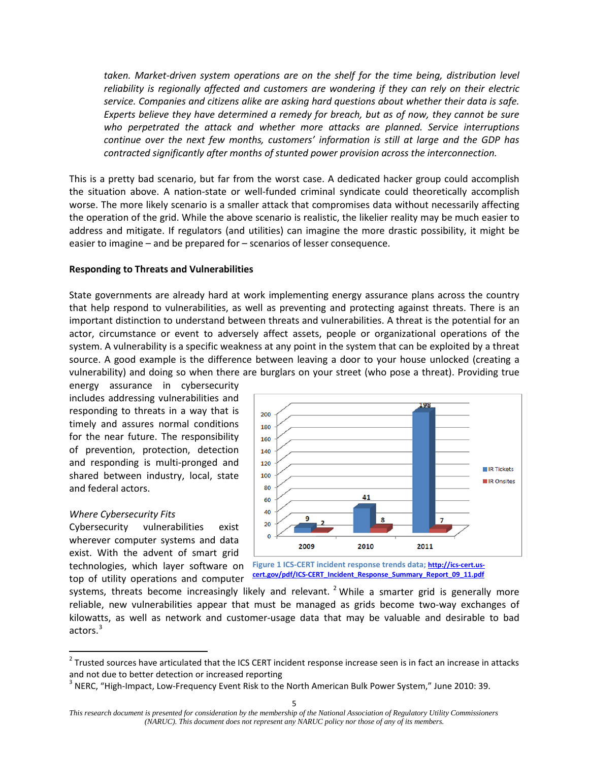*taken. Market-driven system operations are on the shelf for the time being, distribution level reliability is regionally affected and customers are wondering if they can rely on their electric service. Companies and citizens alike are asking hard questions about whether their data is safe. Experts believe they have determined a remedy for breach, but as of now, they cannot be sure who perpetrated the attack and whether more attacks are planned. Service interruptions continue over the next few months, customers' information is still at large and the GDP has contracted significantly after months of stunted power provision across the interconnection.*

This is a pretty bad scenario, but far from the worst case. A dedicated hacker group could accomplish the situation above. A nation-state or well-funded criminal syndicate could theoretically accomplish worse. The more likely scenario is a smaller attack that compromises data without necessarily affecting the operation of the grid. While the above scenario is realistic, the likelier reality may be much easier to address and mitigate. If regulators (and utilities) can imagine the more drastic possibility, it might be easier to imagine – and be prepared for – scenarios of lesser consequence.

### **Responding to Threats and Vulnerabilities**

State governments are already hard at work implementing energy assurance plans across the country that help respond to vulnerabilities, as well as preventing and protecting against threats. There is an important distinction to understand between threats and vulnerabilities. A threat is the potential for an actor, circumstance or event to adversely affect assets, people or organizational operations of the system. A vulnerability is a specific weakness at any point in the system that can be exploited by a threat source. A good example is the difference between leaving a door to your house unlocked (creating a vulnerability) and doing so when there are burglars on your street (who pose a threat). Providing true

energy assurance in cybersecurity includes addressing vulnerabilities and responding to threats in a way that is timely and assures normal conditions for the near future. The responsibility of prevention, protection, detection and responding is multi-pronged and shared between industry, local, state and federal actors.

### *Where Cybersecurity Fits*

Cybersecurity vulnerabilities exist wherever computer systems and data exist. With the advent of smart grid technologies, which layer software on

top of utility operations and computer





systems, threats become increasingly likely and relevant.<sup>[2](#page-7-0)</sup> While a smarter grid is generally more reliable, new vulnerabilities appear that must be managed as grids become two-way exchanges of kilowatts, as well as network and customer-usage data that may be valuable and desirable to bad actors.<sup>[3](#page-7-1)</sup>

<span id="page-7-0"></span> $2$  Trusted sources have articulated that the ICS CERT incident response increase seen is in fact an increase in attacks and not due to better detection or increased reporting

<span id="page-7-1"></span><sup>3</sup> NERC, "High-Impact, Low-Frequency Event Risk to the North American Bulk Power System," June 2010: 39.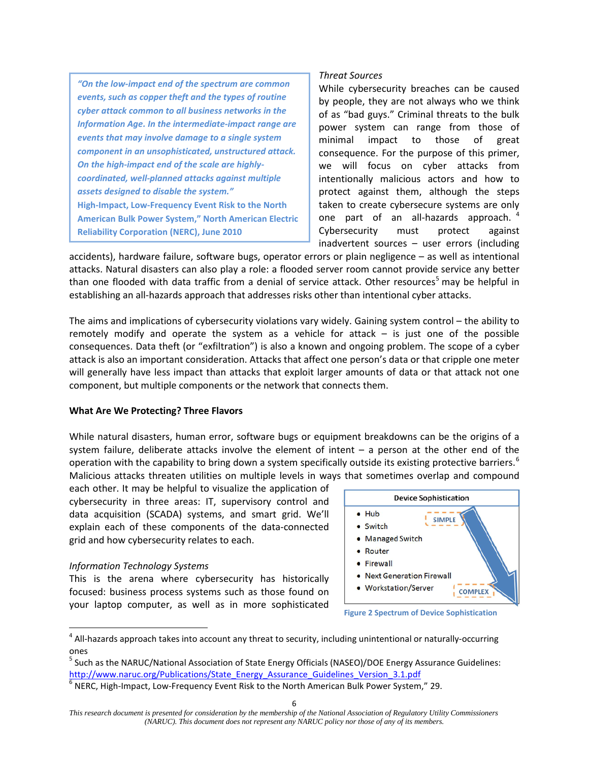*"On the low-impact end of the spectrum are common events, such as copper theft and the types of routine cyber attack common to all business networks in the Information Age. In the intermediate-impact range are events that may involve damage to a single system component in an unsophisticated, unstructured attack. On the high-impact end of the scale are highlycoordinated, well-planned attacks against multiple assets designed to disable the system."* **High-Impact, Low-Frequency Event Risk to the North American Bulk Power System," North American Electric Reliability Corporation (NERC), June 2010**

### *Threat Sources*

While cybersecurity breaches can be caused by people, they are not always who we think of as "bad guys." Criminal threats to the bulk power system can range from those of minimal impact to those of great consequence. For the purpose of this primer, we will focus on cyber attacks from intentionally malicious actors and how to protect against them, although the steps taken to create cybersecure systems are only one part of an all-hazards approach.<sup>[4](#page-8-0)</sup> Cybersecurity must protect against inadvertent sources – user errors (including

accidents), hardware failure, software bugs, operator errors or plain negligence – as well as intentional attacks. Natural disasters can also play a role: a flooded server room cannot provide service any better than one flooded with data traffic from a denial of service attack. Other resources<sup>[5](#page-8-1)</sup> may be helpful in establishing an all-hazards approach that addresses risks other than intentional cyber attacks.

The aims and implications of cybersecurity violations vary widely. Gaining system control – the ability to remotely modify and operate the system as a vehicle for attack  $-$  is just one of the possible consequences. Data theft (or "exfiltration") is also a known and ongoing problem. The scope of a cyber attack is also an important consideration. Attacks that affect one person's data or that cripple one meter will generally have less impact than attacks that exploit larger amounts of data or that attack not one component, but multiple components or the network that connects them.

### **What Are We Protecting? Three Flavors**

While natural disasters, human error, software bugs or equipment breakdowns can be the origins of a system failure, deliberate attacks involve the element of intent – a person at the other end of the operation with the capability to bring down a system specifically outside its existing protective barriers.<sup>[6](#page-8-2)</sup> Malicious attacks threaten utilities on multiple levels in ways that sometimes overlap and compound

each other. It may be helpful to visualize the application of cybersecurity in three areas: IT, supervisory control and data acquisition (SCADA) systems, and smart grid. We'll explain each of these components of the data-connected grid and how cybersecurity relates to each.

### *Information Technology Systems*

This is the arena where cybersecurity has historically focused: business process systems such as those found on your laptop computer, as well as in more sophisticated



**Figure 2 Spectrum of Device Sophistication**

<span id="page-8-0"></span> $4$  All-hazards approach takes into account any threat to security, including unintentional or naturally-occurring ones

<span id="page-8-1"></span><sup>&</sup>lt;sup>5</sup> Such as the NARUC/National Association of State Energy Officials (NASEO)/DOE Energy Assurance Guidelines: [http://www.naruc.org/Publications/State\\_Energy\\_Assurance\\_Guidelines\\_Version\\_3.1.pdf](http://www.naruc.org/Publications/State_Energy_Assurance_Guidelines_Version_3.1.pdf)

<span id="page-8-2"></span> $6$  NERC, High-Impact, Low-Frequency Event Risk to the North American Bulk Power System," 29.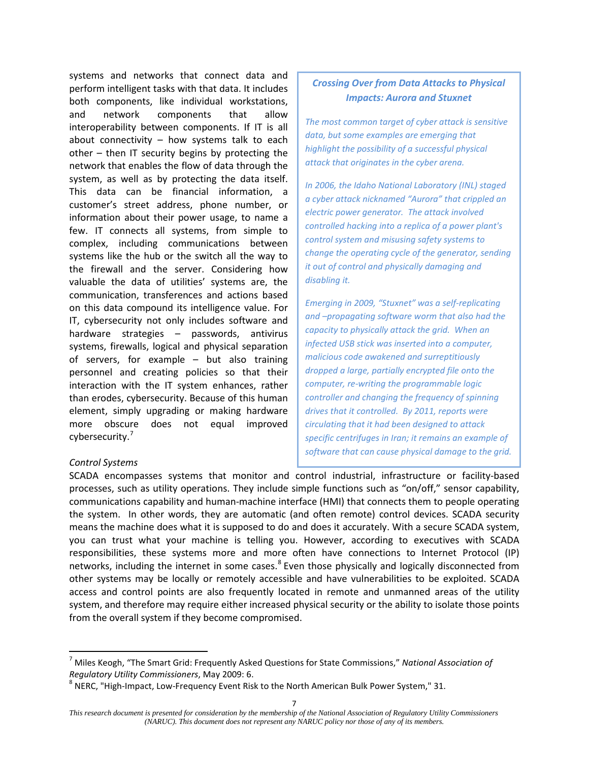systems and networks that connect data and perform intelligent tasks with that data. It includes both components, like individual workstations, and network components that allow interoperability between components. If IT is all about connectivity  $-$  how systems talk to each other – then IT security begins by protecting the network that enables the flow of data through the system, as well as by protecting the data itself. This data can be financial information, a customer's street address, phone number, or information about their power usage, to name a few. IT connects all systems, from simple to complex, including communications between systems like the hub or the switch all the way to the firewall and the server. Considering how valuable the data of utilities' systems are, the communication, transferences and actions based on this data compound its intelligence value. For IT, cybersecurity not only includes software and hardware strategies – passwords, antivirus systems, firewalls, logical and physical separation of servers, for example – but also training personnel and creating policies so that their interaction with the IT system enhances, rather than erodes, cybersecurity. Because of this human element, simply upgrading or making hardware more obscure does not equal improved cybersecurity.<sup>[7](#page-9-0)</sup>

# *Crossing Over from Data Attacks to Physical Impacts: Aurora and Stuxnet*

*The most common target of cyber attack is sensitive data, but some examples are emerging that highlight the possibility of a successful physical attack that originates in the cyber arena.* 

*In 2006, the Idaho National Laboratory (INL) staged a cyber attack nicknamed "Aurora" that crippled an electric power generator. The attack involved controlled hacking into a replica of a power plant's control system and misusing safety systems to change the operating cycle of the generator, sending it out of control and physically damaging and disabling it.* 

*Emerging in 2009, "Stuxnet" was a self-replicating and –propagating software worm that also had the capacity to physically attack the grid. When an infected USB stick was inserted into a computer, malicious code awakened and surreptitiously dropped a large, partially encrypted file onto the computer, re-writing the programmable logic controller and changing the frequency of spinning drives that it controlled. By 2011, reports were circulating that it had been designed to attack specific centrifuges in Iran; it remains an example of software that can cause physical damage to the grid.*

# *Control Systems*

SCADA encompasses systems that monitor and control industrial, infrastructure or facility-based processes, such as utility operations. They include simple functions such as "on/off," sensor capability, communications capability and human-machine interface (HMI) that connects them to people operating the system. In other words, they are automatic (and often remote) control devices. SCADA security means the machine does what it is supposed to do and does it accurately. With a secure SCADA system, you can trust what your machine is telling you. However, according to executives with SCADA responsibilities, these systems more and more often have connections to Internet Protocol (IP) networks, including the internet in some cases.<sup>[8](#page-9-1)</sup> Even those physically and logically disconnected from other systems may be locally or remotely accessible and have vulnerabilities to be exploited. SCADA access and control points are also frequently located in remote and unmanned areas of the utility system, and therefore may require either increased physical security or the ability to isolate those points from the overall system if they become compromised.

7

<span id="page-9-0"></span> <sup>7</sup> Miles Keogh, "The Smart Grid: Frequently Asked Questions for State Commissions," *National Association of Regulatory Utility Commissioners, May 2009: 6.*<br><sup>8</sup> NERC, "High-Impact, Low-Frequency Event Risk to the North American Bulk Power System," 31.

<span id="page-9-1"></span>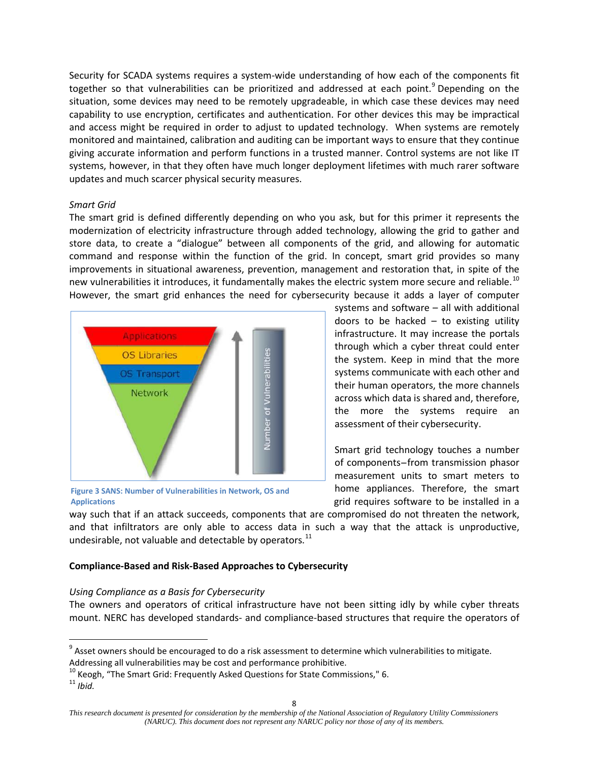Security for SCADA systems requires a system-wide understanding of how each of the components fit together so that vulnerabilities can be prioritized and addressed at each point.<sup>[9](#page-10-0)</sup> Depending on the situation, some devices may need to be remotely upgradeable, in which case these devices may need capability to use encryption, certificates and authentication. For other devices this may be impractical and access might be required in order to adjust to updated technology. When systems are remotely monitored and maintained, calibration and auditing can be important ways to ensure that they continue giving accurate information and perform functions in a trusted manner. Control systems are not like IT systems, however, in that they often have much longer deployment lifetimes with much rarer software updates and much scarcer physical security measures.

### *Smart Grid*

The smart grid is defined differently depending on who you ask, but for this primer it represents the modernization of electricity infrastructure through added technology, allowing the grid to gather and store data, to create a "dialogue" between all components of the grid, and allowing for automatic command and response within the function of the grid. In concept, smart grid provides so many improvements in situational awareness, prevention, management and restoration that, in spite of the new vulnerabilities it introduces, it fundamentally makes the electric system more secure and reliable.<sup>[10](#page-10-1)</sup> However, the smart grid enhances the need for cybersecurity because it adds a layer of computer



**Figure 3 SANS: Number of Vulnerabilities in Network, OS and Applications**

systems and software – all with additional doors to be hacked  $-$  to existing utility infrastructure. It may increase the portals through which a cyber threat could enter the system. Keep in mind that the more systems communicate with each other and their human operators, the more channels across which data is shared and, therefore, the more the systems require an assessment of their cybersecurity.

Smart grid technology touches a number of components ̶from transmission phasor measurement units to smart meters to home appliances. Therefore, the smart grid requires software to be installed in a

way such that if an attack succeeds, components that are compromised do not threaten the network, and that infiltrators are only able to access data in such a way that the attack is unproductive, undesirable, not valuable and detectable by operators.<sup>[11](#page-10-2)</sup>

### **Compliance-Based and Risk-Based Approaches to Cybersecurity**

### *Using Compliance as a Basis for Cybersecurity*

The owners and operators of critical infrastructure have not been sitting idly by while cyber threats mount. NERC has developed standards- and compliance-based structures that require the operators of

<span id="page-10-0"></span><sup>&</sup>lt;sup>9</sup> Asset owners should be encouraged to do a risk assessment to determine which vulnerabilities to mitigate. Addressing all vulnerabilities may be cost and performance prohibitive.<br><sup>10</sup> Keogh, "The Smart Grid: Frequently Asked Questions for State Commissions," 6.<br><sup>11</sup> *Ibid* 

<span id="page-10-1"></span>

<span id="page-10-2"></span>

*This research document is presented for consideration by the membership of the National Association of Regulatory Utility Commissioners (NARUC). This document does not represent any NARUC policy nor those of any of its members.*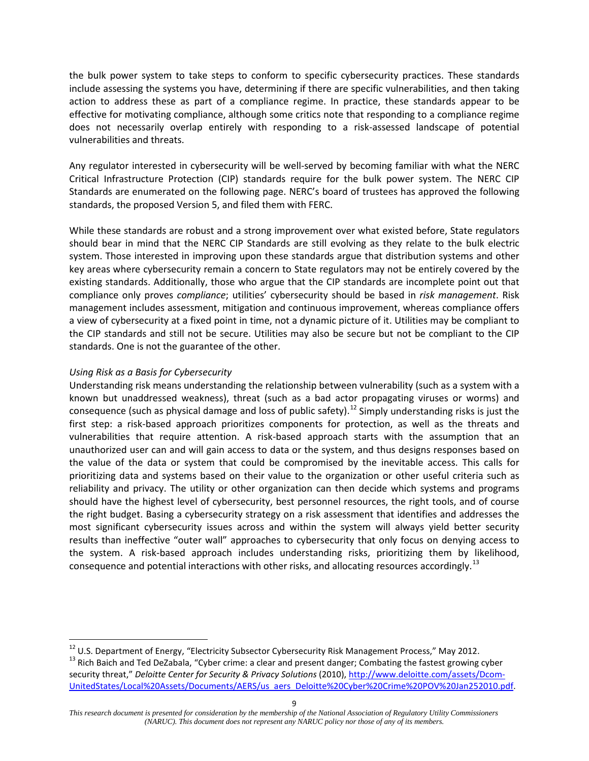the bulk power system to take steps to conform to specific cybersecurity practices. These standards include assessing the systems you have, determining if there are specific vulnerabilities, and then taking action to address these as part of a compliance regime. In practice, these standards appear to be effective for motivating compliance, although some critics note that responding to a compliance regime does not necessarily overlap entirely with responding to a risk-assessed landscape of potential vulnerabilities and threats.

Any regulator interested in cybersecurity will be well-served by becoming familiar with what the NERC Critical Infrastructure Protection (CIP) standards require for the bulk power system. The NERC CIP Standards are enumerated on the following page. NERC's board of trustees has approved the following standards, the proposed Version 5, and filed them with FERC.

While these standards are robust and a strong improvement over what existed before, State regulators should bear in mind that the NERC CIP Standards are still evolving as they relate to the bulk electric system. Those interested in improving upon these standards argue that distribution systems and other key areas where cybersecurity remain a concern to State regulators may not be entirely covered by the existing standards. Additionally, those who argue that the CIP standards are incomplete point out that compliance only proves *compliance*; utilities' cybersecurity should be based in *risk management*. Risk management includes assessment, mitigation and continuous improvement, whereas compliance offers a view of cybersecurity at a fixed point in time, not a dynamic picture of it. Utilities may be compliant to the CIP standards and still not be secure. Utilities may also be secure but not be compliant to the CIP standards. One is not the guarantee of the other.

### *Using Risk as a Basis for Cybersecurity*

Understanding risk means understanding the relationship between vulnerability (such as a system with a known but unaddressed weakness), threat (such as a bad actor propagating viruses or worms) and consequence (such as physical damage and loss of public safety).<sup>[12](#page-11-0)</sup> Simply understanding risks is just the first step: a risk-based approach prioritizes components for protection, as well as the threats and vulnerabilities that require attention. A risk-based approach starts with the assumption that an unauthorized user can and will gain access to data or the system, and thus designs responses based on the value of the data or system that could be compromised by the inevitable access. This calls for prioritizing data and systems based on their value to the organization or other useful criteria such as reliability and privacy. The utility or other organization can then decide which systems and programs should have the highest level of cybersecurity, best personnel resources, the right tools, and of course the right budget. Basing a cybersecurity strategy on a risk assessment that identifies and addresses the most significant cybersecurity issues across and within the system will always yield better security results than ineffective "outer wall" approaches to cybersecurity that only focus on denying access to the system. A risk-based approach includes understanding risks, prioritizing them by likelihood, consequence and potential interactions with other risks, and allocating resources accordingly.<sup>[13](#page-11-1)</sup>

*This research document is presented for consideration by the membership of the National Association of Regulatory Utility Commissioners (NARUC). This document does not represent any NARUC policy nor those of any of its members.*

<span id="page-11-1"></span><span id="page-11-0"></span><sup>&</sup>lt;sup>12</sup> U.S. Department of Energy, "Electricity Subsector Cybersecurity Risk Management Process," May 2012.<br><sup>13</sup> Rich Baich and Ted DeZabala, "Cyber crime: a clear and present danger; Combating the fastest growing cyber security threat," *Deloitte Center for Security & Privacy Solutions* (2010), [http://www.deloitte.com/assets/Dcom-](http://www.deloitte.com/assets/Dcom-UnitedStates/Local%20Assets/Documents/AERS/us_aers_Deloitte%20Cyber%20Crime%20POV%20Jan252010.pdf)[UnitedStates/Local%20Assets/Documents/AERS/us\\_aers\\_Deloitte%20Cyber%20Crime%20POV%20Jan252010.pdf.](http://www.deloitte.com/assets/Dcom-UnitedStates/Local%20Assets/Documents/AERS/us_aers_Deloitte%20Cyber%20Crime%20POV%20Jan252010.pdf)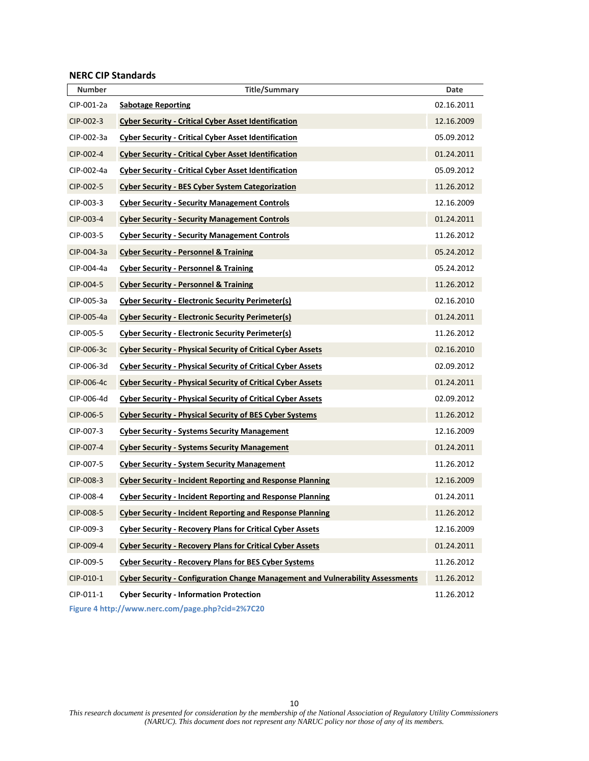# **NERC CIP Standards**

| <b>Number</b> | <b>Title/Summary</b>                                                           | Date       |
|---------------|--------------------------------------------------------------------------------|------------|
| CIP-001-2a    | <b>Sabotage Reporting</b>                                                      | 02.16.2011 |
| CIP-002-3     | <b>Cyber Security - Critical Cyber Asset Identification</b>                    | 12.16.2009 |
| CIP-002-3a    | <b>Cyber Security - Critical Cyber Asset Identification</b>                    | 05.09.2012 |
| CIP-002-4     | <b>Cyber Security - Critical Cyber Asset Identification</b>                    | 01.24.2011 |
| CIP-002-4a    | <b>Cyber Security - Critical Cyber Asset Identification</b>                    | 05.09.2012 |
| CIP-002-5     | <b>Cyber Security - BES Cyber System Categorization</b>                        | 11.26.2012 |
| CIP-003-3     | <b>Cyber Security - Security Management Controls</b>                           | 12.16.2009 |
| CIP-003-4     | <b>Cyber Security - Security Management Controls</b>                           | 01.24.2011 |
| CIP-003-5     | <b>Cyber Security - Security Management Controls</b>                           | 11.26.2012 |
| CIP-004-3a    | <b>Cyber Security - Personnel &amp; Training</b>                               | 05.24.2012 |
| CIP-004-4a    | <b>Cyber Security - Personnel &amp; Training</b>                               | 05.24.2012 |
| CIP-004-5     | <b>Cyber Security - Personnel &amp; Training</b>                               | 11.26.2012 |
| CIP-005-3a    | <b>Cyber Security - Electronic Security Perimeter(s)</b>                       | 02.16.2010 |
| CIP-005-4a    | <b>Cyber Security - Electronic Security Perimeter(s)</b>                       | 01.24.2011 |
| CIP-005-5     | <b>Cyber Security - Electronic Security Perimeter(s)</b>                       | 11.26.2012 |
| CIP-006-3c    | <b>Cyber Security - Physical Security of Critical Cyber Assets</b>             | 02.16.2010 |
| CIP-006-3d    | <b>Cyber Security - Physical Security of Critical Cyber Assets</b>             | 02.09.2012 |
| CIP-006-4c    | <b>Cyber Security - Physical Security of Critical Cyber Assets</b>             | 01.24.2011 |
| CIP-006-4d    | <b>Cyber Security - Physical Security of Critical Cyber Assets</b>             | 02.09.2012 |
| CIP-006-5     | <b>Cyber Security - Physical Security of BES Cyber Systems</b>                 | 11.26.2012 |
| CIP-007-3     | <b>Cyber Security - Systems Security Management</b>                            | 12.16.2009 |
| CIP-007-4     | <b>Cyber Security - Systems Security Management</b>                            | 01.24.2011 |
| CIP-007-5     | <b>Cyber Security - System Security Management</b>                             | 11.26.2012 |
| CIP-008-3     | <b>Cyber Security - Incident Reporting and Response Planning</b>               | 12.16.2009 |
| CIP-008-4     | <b>Cyber Security - Incident Reporting and Response Planning</b>               | 01.24.2011 |
| CIP-008-5     | <b>Cyber Security - Incident Reporting and Response Planning</b>               | 11.26.2012 |
| CIP-009-3     | <b>Cyber Security - Recovery Plans for Critical Cyber Assets</b>               | 12.16.2009 |
| CIP-009-4     | <b>Cyber Security - Recovery Plans for Critical Cyber Assets</b>               | 01.24.2011 |
| CIP-009-5     | <b>Cyber Security - Recovery Plans for BES Cyber Systems</b>                   | 11.26.2012 |
| CIP-010-1     | Cyber Security - Configuration Change Management and Vulnerability Assessments | 11.26.2012 |
| CIP-011-1     | <b>Cyber Security - Information Protection</b>                                 | 11.26.2012 |

**Figure 4 http://www.nerc.com/page.php?cid=2%7C20**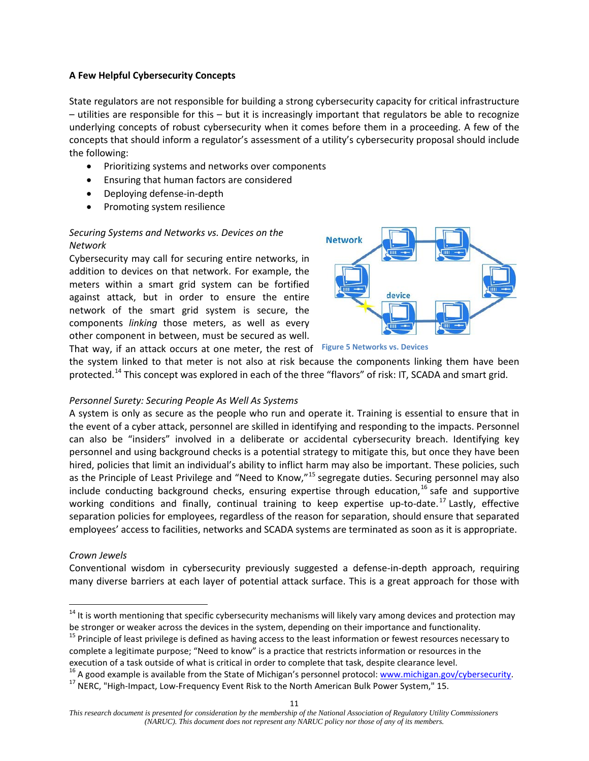### **A Few Helpful Cybersecurity Concepts**

State regulators are not responsible for building a strong cybersecurity capacity for critical infrastructure – utilities are responsible for this – but it is increasingly important that regulators be able to recognize underlying concepts of robust cybersecurity when it comes before them in a proceeding. A few of the concepts that should inform a regulator's assessment of a utility's cybersecurity proposal should include the following:

- Prioritizing systems and networks over components
- Ensuring that human factors are considered
- Deploying defense-in-depth
- Promoting system resilience

# *Securing Systems and Networks vs. Devices on the Network*

Cybersecurity may call for securing entire networks, in addition to devices on that network. For example, the meters within a smart grid system can be fortified against attack, but in order to ensure the entire network of the smart grid system is secure, the components *linking* those meters, as well as every other component in between, must be secured as well.



That way, if an attack occurs at one meter, the rest of **Figure 5 Networks vs. Devices**

the system linked to that meter is not also at risk because the components linking them have been protected.<sup>[14](#page-13-0)</sup> This concept was explored in each of the three "flavors" of risk: IT, SCADA and smart grid.

# *Personnel Surety: Securing People As Well As Systems*

A system is only as secure as the people who run and operate it. Training is essential to ensure that in the event of a cyber attack, personnel are skilled in identifying and responding to the impacts. Personnel can also be "insiders" involved in a deliberate or accidental cybersecurity breach. Identifying key personnel and using background checks is a potential strategy to mitigate this, but once they have been hired, policies that limit an individual's ability to inflict harm may also be important. These policies, such as the Principle of Least Privilege and "Need to Know,"<sup>[15](#page-13-1)</sup> segregate duties. Securing personnel may also include conducting background checks, ensuring expertise through education, [16](#page-13-2) safe and supportive working conditions and finally, continual training to keep expertise up-to-date.<sup>[17](#page-13-3)</sup> Lastly, effective separation policies for employees, regardless of the reason for separation, should ensure that separated employees' access to facilities, networks and SCADA systems are terminated as soon as it is appropriate.

# *Crown Jewels*

Conventional wisdom in cybersecurity previously suggested a defense-in-depth approach, requiring many diverse barriers at each layer of potential attack surface. This is a great approach for those with

<span id="page-13-0"></span><sup>&</sup>lt;sup>14</sup> It is worth mentioning that specific cybersecurity mechanisms will likely vary among devices and protection may be stronger or weaker across the devices in the system, depending on their importance and functionality.

<span id="page-13-1"></span><sup>&</sup>lt;sup>15</sup> Principle of least privilege is defined as having access to the least information or fewest resources necessary to complete a legitimate purpose; "Need to know" is a practice that restricts information or resources in the

<span id="page-13-2"></span>execution of a task outside of what is critical in order to complete that task, despite clearance level.<br><sup>16</sup> A good example is available from the State of Michigan's personnel protocol: [www.michigan.gov/cybersecurity.](http://www.michigan.gov/cybersecurity)<br><sup>17</sup>

<span id="page-13-3"></span>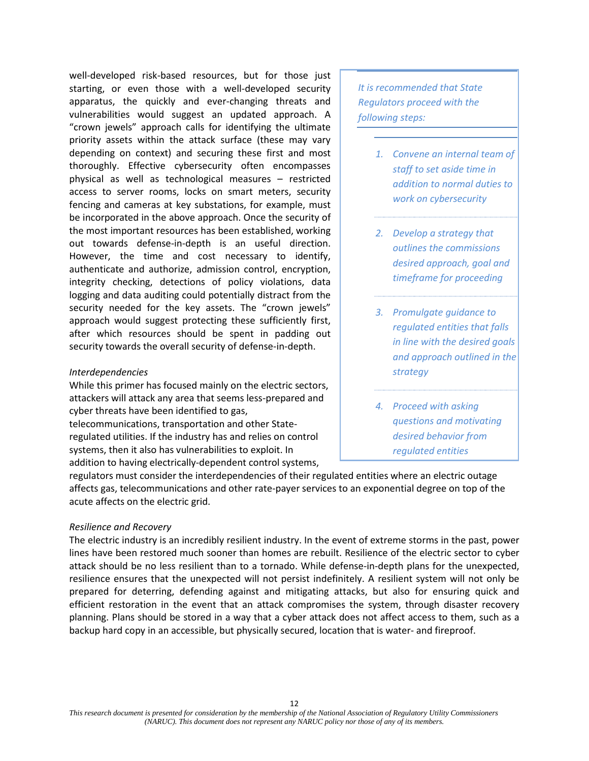well-developed risk-based resources, but for those just starting, or even those with a well-developed security apparatus, the quickly and ever-changing threats and vulnerabilities would suggest an updated approach. A "crown jewels" approach calls for identifying the ultimate priority assets within the attack surface (these may vary depending on context) and securing these first and most thoroughly. Effective cybersecurity often encompasses physical as well as technological measures – restricted access to server rooms, locks on smart meters, security fencing and cameras at key substations, for example, must be incorporated in the above approach. Once the security of the most important resources has been established, working out towards defense-in-depth is an useful direction. However, the time and cost necessary to identify, authenticate and authorize, admission control, encryption, integrity checking, detections of policy violations, data logging and data auditing could potentially distract from the security needed for the key assets. The "crown jewels" approach would suggest protecting these sufficiently first, after which resources should be spent in padding out security towards the overall security of defense-in-depth.

### *Interdependencies*

While this primer has focused mainly on the electric sectors, attackers will attack any area that seems less-prepared and cyber threats have been identified to gas, telecommunications, transportation and other Stateregulated utilities. If the industry has and relies on control systems, then it also has vulnerabilities to exploit. In addition to having electrically-dependent control systems,

regulators must consider the interdependencies of their regulated entities where an electric outage affects gas, telecommunications and other rate-payer services to an exponential degree on top of the acute affects on the electric grid.

### *Resilience and Recovery*

The electric industry is an incredibly resilient industry. In the event of extreme storms in the past, power lines have been restored much sooner than homes are rebuilt. Resilience of the electric sector to cyber attack should be no less resilient than to a tornado. While defense-in-depth plans for the unexpected, resilience ensures that the unexpected will not persist indefinitely. A resilient system will not only be prepared for deterring, defending against and mitigating attacks, but also for ensuring quick and efficient restoration in the event that an attack compromises the system, through disaster recovery planning. Plans should be stored in a way that a cyber attack does not affect access to them, such as a backup hard copy in an accessible, but physically secured, location that is water- and fireproof.

*It is recommended that State Regulators proceed with the following steps:*

- *1. Convene an internal team of staff to set aside time in addition to normal duties to work on cybersecurity*
- *2. Develop a strategy that outlines the commissions desired approach, goal and timeframe for proceeding*
- *3. Promulgate guidance to regulated entities that falls in line with the desired goals and approach outlined in the strategy*
- *4. Proceed with asking questions and motivating desired behavior from regulated entities*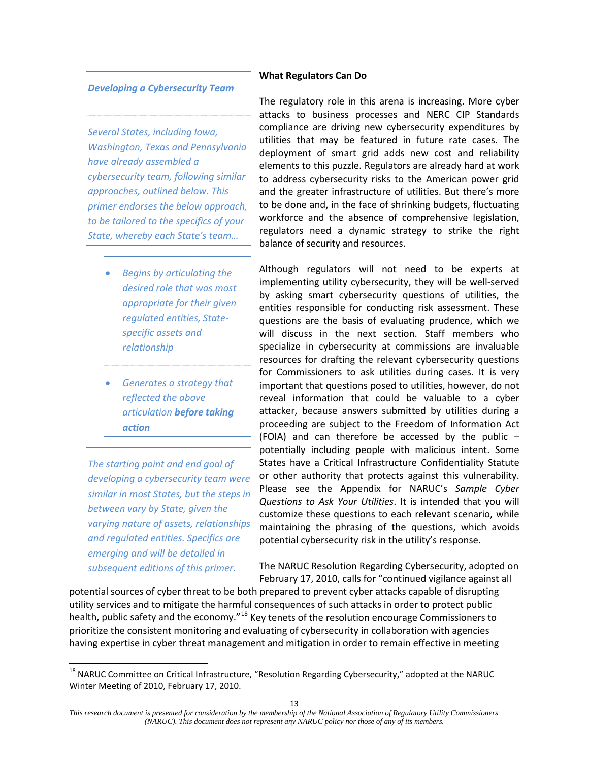#### **What Regulators Can Do**

#### *Developing a Cybersecurity Team*

*Several States, including Iowa, Washington, Texas and Pennsylvania have already assembled a cybersecurity team, following similar approaches, outlined below. This primer endorses the below approach, to be tailored to the specifics of your State, whereby each State's team…*

- *Begins by articulating the desired role that was most appropriate for their given regulated entities, Statespecific assets and relationship*
- *Generates a strategy that reflected the above articulation before taking action*

*The starting point and end goal of developing a cybersecurity team were similar in most States, but the steps in between vary by State, given the varying nature of assets, relationships and regulated entities. Specifics are emerging and will be detailed in subsequent editions of this primer.*

The regulatory role in this arena is increasing. More cyber attacks to business processes and NERC CIP Standards compliance are driving new cybersecurity expenditures by utilities that may be featured in future rate cases. The deployment of smart grid adds new cost and reliability elements to this puzzle. Regulators are already hard at work to address cybersecurity risks to the American power grid and the greater infrastructure of utilities. But there's more to be done and, in the face of shrinking budgets, fluctuating workforce and the absence of comprehensive legislation, regulators need a dynamic strategy to strike the right balance of security and resources.

Although regulators will not need to be experts at implementing utility cybersecurity, they will be well-served by asking smart cybersecurity questions of utilities, the entities responsible for conducting risk assessment. These questions are the basis of evaluating prudence, which we will discuss in the next section. Staff members who specialize in cybersecurity at commissions are invaluable resources for drafting the relevant cybersecurity questions for Commissioners to ask utilities during cases. It is very important that questions posed to utilities, however, do not reveal information that could be valuable to a cyber attacker, because answers submitted by utilities during a proceeding are subject to the Freedom of Information Act (FOIA) and can therefore be accessed by the public – potentially including people with malicious intent. Some States have a Critical Infrastructure Confidentiality Statute or other authority that protects against this vulnerability. Please see the Appendix for NARUC's *Sample Cyber Questions to Ask Your Utilities*. It is intended that you will customize these questions to each relevant scenario, while maintaining the phrasing of the questions, which avoids potential cybersecurity risk in the utility's response.

The NARUC Resolution Regarding Cybersecurity, adopted on February 17, 2010, calls for "continued vigilance against all

potential sources of cyber threat to be both prepared to prevent cyber attacks capable of disrupting utility services and to mitigate the harmful consequences of such attacks in order to protect public health, public safety and the economy."<sup>[18](#page-15-0)</sup> Key tenets of the resolution encourage Commissioners to prioritize the consistent monitoring and evaluating of cybersecurity in collaboration with agencies having expertise in cyber threat management and mitigation in order to remain effective in meeting

13

<span id="page-15-0"></span><sup>&</sup>lt;sup>18</sup> NARUC Committee on Critical Infrastructure, "Resolution Regarding Cybersecurity," adopted at the NARUC Winter Meeting of 2010, February 17, 2010.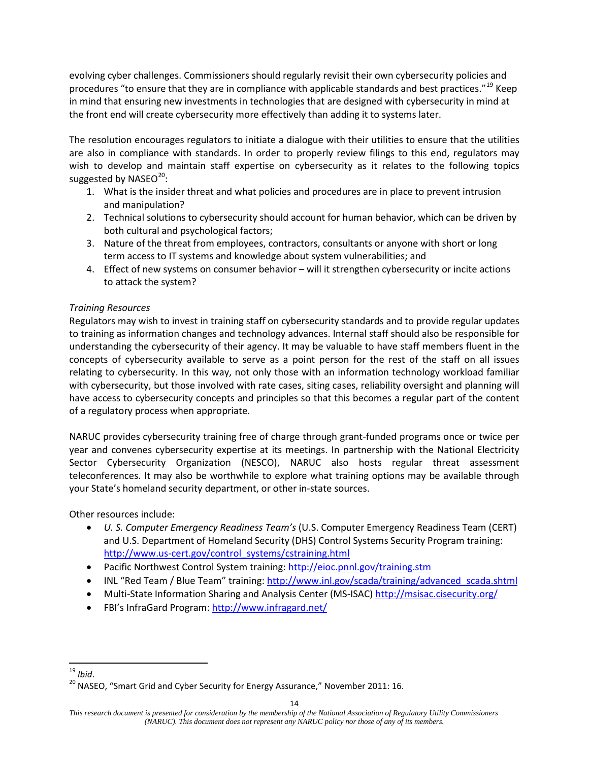evolving cyber challenges. Commissioners should regularly revisit their own cybersecurity policies and procedures "to ensure that they are in compliance with applicable standards and best practices."<sup>[19](#page-16-0)</sup> Keep in mind that ensuring new investments in technologies that are designed with cybersecurity in mind at the front end will create cybersecurity more effectively than adding it to systems later.

The resolution encourages regulators to initiate a dialogue with their utilities to ensure that the utilities are also in compliance with standards. In order to properly review filings to this end, regulators may wish to develop and maintain staff expertise on cybersecurity as it relates to the following topics suggested by NASEO<sup>[20](#page-16-1)</sup>:

- 1. What is the insider threat and what policies and procedures are in place to prevent intrusion and manipulation?
- 2. Technical solutions to cybersecurity should account for human behavior, which can be driven by both cultural and psychological factors;
- 3. Nature of the threat from employees, contractors, consultants or anyone with short or long term access to IT systems and knowledge about system vulnerabilities; and
- 4. Effect of new systems on consumer behavior will it strengthen cybersecurity or incite actions to attack the system?

# *Training Resources*

Regulators may wish to invest in training staff on cybersecurity standards and to provide regular updates to training as information changes and technology advances. Internal staff should also be responsible for understanding the cybersecurity of their agency. It may be valuable to have staff members fluent in the concepts of cybersecurity available to serve as a point person for the rest of the staff on all issues relating to cybersecurity. In this way, not only those with an information technology workload familiar with cybersecurity, but those involved with rate cases, siting cases, reliability oversight and planning will have access to cybersecurity concepts and principles so that this becomes a regular part of the content of a regulatory process when appropriate.

NARUC provides cybersecurity training free of charge through grant-funded programs once or twice per year and convenes cybersecurity expertise at its meetings. In partnership with the National Electricity Sector Cybersecurity Organization (NESCO), NARUC also hosts regular threat assessment teleconferences. It may also be worthwhile to explore what training options may be available through your State's homeland security department, or other in-state sources.

Other resources include:

- *U. S. Computer Emergency Readiness Team's* (U.S. Computer Emergency Readiness Team (CERT) and U.S. Department of Homeland Security (DHS) Control Systems Security Program training: [http://www.us-cert.gov/control\\_systems/cstraining.html](http://www.us-cert.gov/control_systems/cstraining.html)
- Pacific Northwest Control System training[: http://eioc.pnnl.gov/training.stm](http://eioc.pnnl.gov/training.stm)
- INL "Red Team / Blue Team" training: http://www.inl.gov/scada/training/advanced scada.shtml
- Multi-State Information Sharing and Analysis Center (MS-ISAC)<http://msisac.cisecurity.org/>
- FBI's InfraGard Program[: http://www.infragard.net/](http://www.infragard.net/)

<span id="page-16-1"></span><span id="page-16-0"></span><sup>&</sup>lt;sup>19</sup> *Ibid*.<br><sup>20</sup> NASEO, "Smart Grid and Cyber Security for Energy Assurance," November 2011: 16.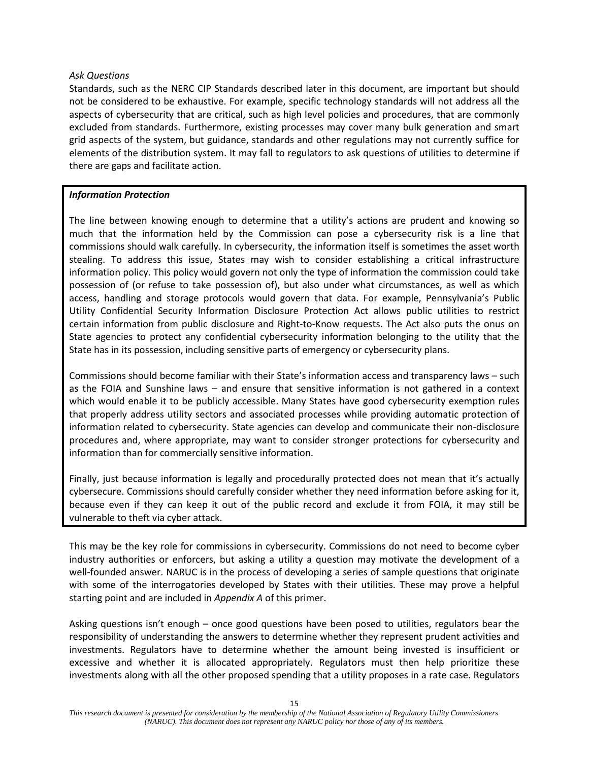### *Ask Questions*

Standards, such as the NERC CIP Standards described later in this document, are important but should not be considered to be exhaustive. For example, specific technology standards will not address all the aspects of cybersecurity that are critical, such as high level policies and procedures, that are commonly excluded from standards. Furthermore, existing processes may cover many bulk generation and smart grid aspects of the system, but guidance, standards and other regulations may not currently suffice for elements of the distribution system. It may fall to regulators to ask questions of utilities to determine if there are gaps and facilitate action.

### *Information Protection*

The line between knowing enough to determine that a utility's actions are prudent and knowing so much that the information held by the Commission can pose a cybersecurity risk is a line that commissions should walk carefully. In cybersecurity, the information itself is sometimes the asset worth stealing. To address this issue, States may wish to consider establishing a critical infrastructure information policy. This policy would govern not only the type of information the commission could take possession of (or refuse to take possession of), but also under what circumstances, as well as which access, handling and storage protocols would govern that data. For example, Pennsylvania's Public Utility Confidential Security Information Disclosure Protection Act allows public utilities to restrict certain information from public disclosure and Right-to-Know requests. The Act also puts the onus on State agencies to protect any confidential cybersecurity information belonging to the utility that the State has in its possession, including sensitive parts of emergency or cybersecurity plans.

Commissions should become familiar with their State's information access and transparency laws – such as the FOIA and Sunshine laws – and ensure that sensitive information is not gathered in a context which would enable it to be publicly accessible. Many States have good cybersecurity exemption rules that properly address utility sectors and associated processes while providing automatic protection of information related to cybersecurity. State agencies can develop and communicate their non-disclosure procedures and, where appropriate, may want to consider stronger protections for cybersecurity and information than for commercially sensitive information.

Finally, just because information is legally and procedurally protected does not mean that it's actually cybersecure. Commissions should carefully consider whether they need information before asking for it, because even if they can keep it out of the public record and exclude it from FOIA, it may still be vulnerable to theft via cyber attack.

This may be the key role for commissions in cybersecurity. Commissions do not need to become cyber industry authorities or enforcers, but asking a utility a question may motivate the development of a well-founded answer. NARUC is in the process of developing a series of sample questions that originate with some of the interrogatories developed by States with their utilities. These may prove a helpful starting point and are included in *Appendix A* of this primer.

Asking questions isn't enough – once good questions have been posed to utilities, regulators bear the responsibility of understanding the answers to determine whether they represent prudent activities and investments. Regulators have to determine whether the amount being invested is insufficient or excessive and whether it is allocated appropriately. Regulators must then help prioritize these investments along with all the other proposed spending that a utility proposes in a rate case. Regulators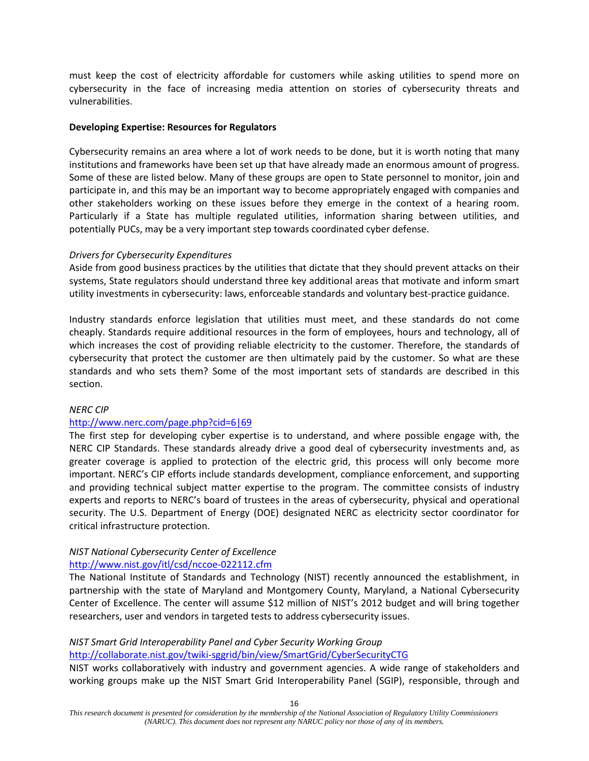must keep the cost of electricity affordable for customers while asking utilities to spend more on cybersecurity in the face of increasing media attention on stories of cybersecurity threats and vulnerabilities.

### **Developing Expertise: Resources for Regulators**

Cybersecurity remains an area where a lot of work needs to be done, but it is worth noting that many institutions and frameworks have been set up that have already made an enormous amount of progress. Some of these are listed below. Many of these groups are open to State personnel to monitor, join and participate in, and this may be an important way to become appropriately engaged with companies and other stakeholders working on these issues before they emerge in the context of a hearing room. Particularly if a State has multiple regulated utilities, information sharing between utilities, and potentially PUCs, may be a very important step towards coordinated cyber defense.

### *Drivers for Cybersecurity Expenditures*

Aside from good business practices by the utilities that dictate that they should prevent attacks on their systems, State regulators should understand three key additional areas that motivate and inform smart utility investments in cybersecurity: laws, enforceable standards and voluntary best-practice guidance.

Industry standards enforce legislation that utilities must meet, and these standards do not come cheaply. Standards require additional resources in the form of employees, hours and technology, all of which increases the cost of providing reliable electricity to the customer. Therefore, the standards of cybersecurity that protect the customer are then ultimately paid by the customer. So what are these standards and who sets them? Some of the most important sets of standards are described in this section.

# *NERC CIP*

# <http://www.nerc.com/page.php?cid=6|69>

The first step for developing cyber expertise is to understand, and where possible engage with, the NERC CIP Standards. These standards already drive a good deal of cybersecurity investments and, as greater coverage is applied to protection of the electric grid, this process will only become more important. NERC's CIP efforts include standards development, compliance enforcement, and supporting and providing technical subject matter expertise to the program. The committee consists of industry experts and reports to NERC's board of trustees in the areas of cybersecurity, physical and operational security. The U.S. Department of Energy (DOE) designated NERC as electricity sector coordinator for critical infrastructure protection.

# *NIST National Cybersecurity Center of Excellence*

# <http://www.nist.gov/itl/csd/nccoe-022112.cfm>

The National Institute of Standards and Technology (NIST) recently announced the establishment, in partnership with the state of Maryland and Montgomery County, Maryland, a National Cybersecurity Center of Excellence. The center will assume \$12 million of NIST's 2012 budget and will bring together researchers, user and vendors in targeted tests to address cybersecurity issues.

### *NIST Smart Grid Interoperability Panel and Cyber Security Working Group* <http://collaborate.nist.gov/twiki-sggrid/bin/view/SmartGrid/CyberSecurityCTG>

NIST works collaboratively with industry and government agencies. A wide range of stakeholders and working groups make up the NIST Smart Grid Interoperability Panel (SGIP), responsible, through and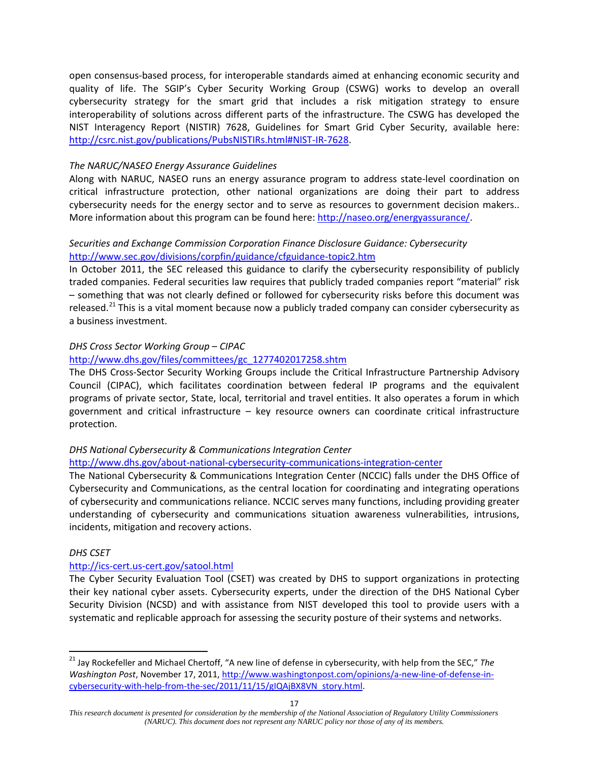open consensus-based process, for interoperable standards aimed at enhancing economic security and quality of life. The SGIP's Cyber Security Working Group (CSWG) works to develop an overall cybersecurity strategy for the smart grid that includes a risk mitigation strategy to ensure interoperability of solutions across different parts of the infrastructure. The CSWG has developed the NIST Interagency Report (NISTIR) 7628, Guidelines for Smart Grid Cyber Security, available here: [http://csrc.nist.gov/publications/PubsNISTIRs.html#NIST-IR-7628.](http://csrc.nist.gov/publications/PubsNISTIRs.html#NIST-IR-7628)

### *The NARUC/NASEO Energy Assurance Guidelines*

Along with NARUC, NASEO runs an energy assurance program to address state-level coordination on critical infrastructure protection, other national organizations are doing their part to address cybersecurity needs for the energy sector and to serve as resources to government decision makers.. More information about this program can be found here: [http://naseo.org/energyassurance/.](http://naseo.org/energyassurance/)

# *Securities and Exchange Commission Corporation Finance Disclosure Guidance: Cybersecurity* <http://www.sec.gov/divisions/corpfin/guidance/cfguidance-topic2.htm>

In October 2011, the SEC released this guidance to clarify the cybersecurity responsibility of publicly traded companies. Federal securities law requires that publicly traded companies report "material" risk – something that was not clearly defined or followed for cybersecurity risks before this document was released.<sup>[21](#page-19-0)</sup> This is a vital moment because now a publicly traded company can consider cybersecurity as a business investment.

### *DHS Cross Sector Working Group* – *CIPAC*

### [http://www.dhs.gov/files/committees/gc\\_1277402017258.shtm](http://www.dhs.gov/files/committees/gc_1277402017258.shtm)

The DHS Cross-Sector Security Working Groups include the Critical Infrastructure Partnership Advisory Council (CIPAC), which facilitates coordination between federal IP programs and the equivalent programs of private sector, State, local, territorial and travel entities. It also operates a forum in which government and critical infrastructure – key resource owners can coordinate critical infrastructure protection.

# *DHS National Cybersecurity & Communications Integration Center*

# <http://www.dhs.gov/about-national-cybersecurity-communications-integration-center>

The National Cybersecurity & Communications Integration Center (NCCIC) falls under the DHS Office of Cybersecurity and Communications, as the central location for coordinating and integrating operations of cybersecurity and communications reliance. NCCIC serves many functions, including providing greater understanding of cybersecurity and communications situation awareness vulnerabilities, intrusions, incidents, mitigation and recovery actions.

### *DHS CSET*

# <http://ics-cert.us-cert.gov/satool.html>

The Cyber Security Evaluation Tool (CSET) was created by DHS to support organizations in protecting their key national cyber assets. Cybersecurity experts, under the direction of the DHS National Cyber Security Division (NCSD) and with assistance from NIST developed this tool to provide users with a systematic and replicable approach for assessing the security posture of their systems and networks.

<span id="page-19-0"></span> <sup>21</sup> Jay Rockefeller and Michael Chertoff, "A new line of defense in cybersecurity, with help from the SEC," *The Washington Post*, November 17, 2011, [http://www.washingtonpost.com/opinions/a-new-line-of-defense-in](http://www.washingtonpost.com/opinions/a-new-line-of-defense-in-cybersecurity-with-help-from-the-sec/2011/11/15/gIQAjBX8VN_story.html)[cybersecurity-with-help-from-the-sec/2011/11/15/gIQAjBX8VN\\_story.html.](http://www.washingtonpost.com/opinions/a-new-line-of-defense-in-cybersecurity-with-help-from-the-sec/2011/11/15/gIQAjBX8VN_story.html)

*This research document is presented for consideration by the membership of the National Association of Regulatory Utility Commissioners (NARUC). This document does not represent any NARUC policy nor those of any of its members.*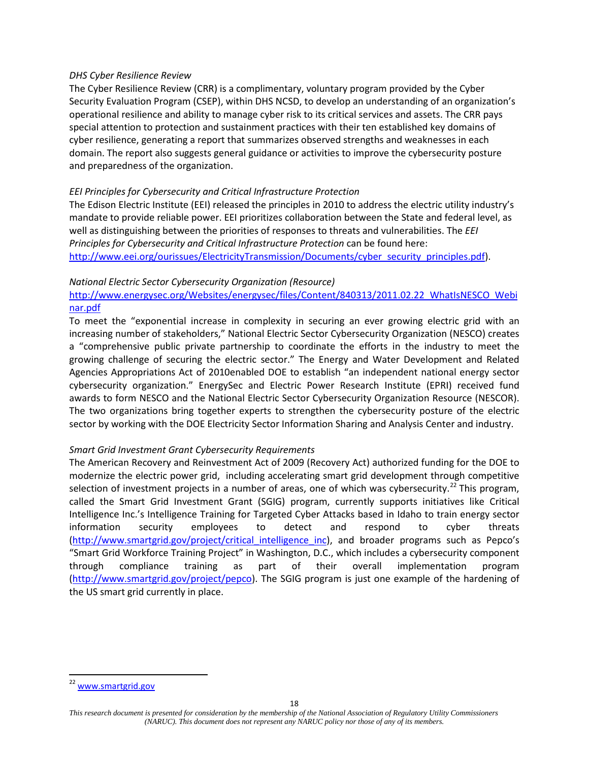### *DHS Cyber Resilience Review*

The Cyber Resilience Review (CRR) is a complimentary, voluntary program provided by the Cyber Security Evaluation Program (CSEP), within DHS NCSD, to develop an understanding of an organization's operational resilience and ability to manage cyber risk to its critical services and assets. The CRR pays special attention to protection and sustainment practices with their ten established key domains of cyber resilience, generating a report that summarizes observed strengths and weaknesses in each domain. The report also suggests general guidance or activities to improve the cybersecurity posture and preparedness of the organization.

# *EEI Principles for Cybersecurity and Critical Infrastructure Protection*

The Edison Electric Institute (EEI) released the principles in 2010 to address the electric utility industry's mandate to provide reliable power. EEI prioritizes collaboration between the State and federal level, as well as distinguishing between the priorities of responses to threats and vulnerabilities. The *EEI Principles for Cybersecurity and Critical Infrastructure Protection* can be found here: [http://www.eei.org/ourissues/ElectricityTransmission/Documents/cyber\\_security\\_principles.pdf\)](http://www.eei.org/ourissues/ElectricityTransmission/Documents/cyber_security_principles.pdf).

# *National Electric Sector Cybersecurity Organization (Resource)*

[http://www.energysec.org/Websites/energysec/files/Content/840313/2011.02.22\\_WhatIsNESCO\\_Webi](http://www.energysec.org/Websites/energysec/files/Content/840313/2011.02.22_WhatIsNESCO_Webinar.pdf) [nar.pdf](http://www.energysec.org/Websites/energysec/files/Content/840313/2011.02.22_WhatIsNESCO_Webinar.pdf)

To meet the "exponential increase in complexity in securing an ever growing electric grid with an increasing number of stakeholders," National Electric Sector Cybersecurity Organization (NESCO) creates a "comprehensive public private partnership to coordinate the efforts in the industry to meet the growing challenge of securing the electric sector." The Energy and Water Development and Related Agencies Appropriations Act of 2010enabled DOE to establish "an independent national energy sector cybersecurity organization." EnergySec and Electric Power Research Institute (EPRI) received fund awards to form NESCO and the National Electric Sector Cybersecurity Organization Resource (NESCOR). The two organizations bring together experts to strengthen the cybersecurity posture of the electric sector by working with the DOE Electricity Sector Information Sharing and Analysis Center and industry.

# *Smart Grid Investment Grant Cybersecurity Requirements*

The American Recovery and Reinvestment Act of 2009 (Recovery Act) authorized funding for the DOE to modernize the electric power grid, including accelerating smart grid development through competitive selection of investment projects in a number of areas, one of which was cybersecurity.<sup>[22](#page-20-0)</sup> This program, called the Smart Grid Investment Grant (SGIG) program, currently supports initiatives like Critical Intelligence Inc.'s Intelligence Training for Targeted Cyber Attacks based in Idaho to train energy sector information security employees to detect and respond to cyber threats [\(http://www.smartgrid.gov/project/critical\\_intelligence\\_inc\)](http://www.smartgrid.gov/project/critical_intelligence_inc), and broader programs such as Pepco's "Smart Grid Workforce Training Project" in Washington, D.C., which includes a cybersecurity component through compliance training as part of their overall implementation program [\(http://www.smartgrid.gov/project/pepco\)](http://www.smartgrid.gov/project/pepco). The SGIG program is just one example of the hardening of the US smart grid currently in place.

<span id="page-20-0"></span><sup>&</sup>lt;sup>22</sup> [www.smartgrid.gov](http://www.smartgrid.gov/)

*This research document is presented for consideration by the membership of the National Association of Regulatory Utility Commissioners (NARUC). This document does not represent any NARUC policy nor those of any of its members.*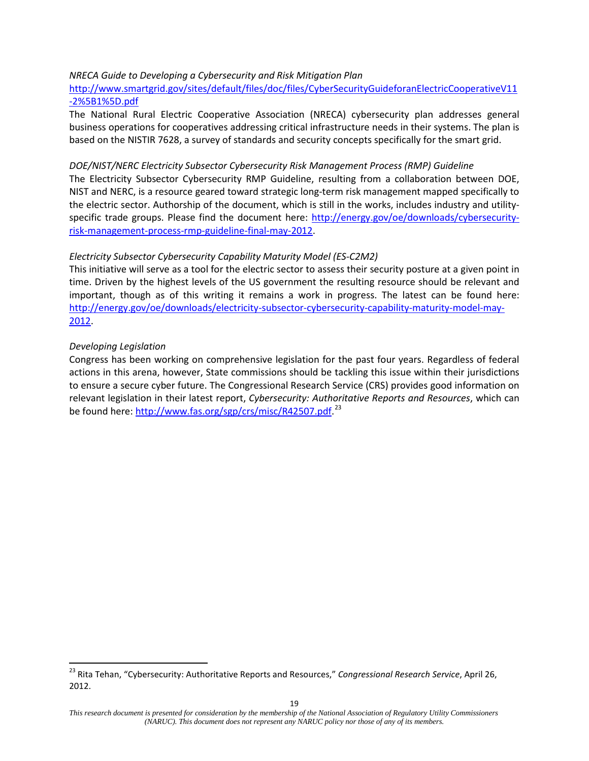### *NRECA Guide to Developing a Cybersecurity and Risk Mitigation Plan*

[http://www.smartgrid.gov/sites/default/files/doc/files/CyberSecurityGuideforanElectricCooperativeV11](http://www.smartgrid.gov/sites/default/files/doc/files/CyberSecurityGuideforanElectricCooperativeV11-2%5B1%5D.pdf) [-2%5B1%5D.pdf](http://www.smartgrid.gov/sites/default/files/doc/files/CyberSecurityGuideforanElectricCooperativeV11-2%5B1%5D.pdf)

The National Rural Electric Cooperative Association (NRECA) cybersecurity plan addresses general business operations for cooperatives addressing critical infrastructure needs in their systems. The plan is based on the NISTIR 7628, a survey of standards and security concepts specifically for the smart grid.

### *DOE/NIST/NERC Electricity Subsector Cybersecurity Risk Management Process (RMP) Guideline*

The Electricity Subsector Cybersecurity RMP Guideline, resulting from a collaboration between DOE, NIST and NERC, is a resource geared toward strategic long-term risk management mapped specifically to the electric sector. Authorship of the document, which is still in the works, includes industry and utilityspecific trade groups. Please find the document here: [http://energy.gov/oe/downloads/cybersecurity](http://energy.gov/oe/downloads/cybersecurity-risk-management-process-rmp-guideline-final-may-2012)[risk-management-process-rmp-guideline-final-may-2012.](http://energy.gov/oe/downloads/cybersecurity-risk-management-process-rmp-guideline-final-may-2012)

# *Electricity Subsector Cybersecurity Capability Maturity Model (ES-C2M2)*

This initiative will serve as a tool for the electric sector to assess their security posture at a given point in time. Driven by the highest levels of the US government the resulting resource should be relevant and important, though as of this writing it remains a work in progress. The latest can be found here: [http://energy.gov/oe/downloads/electricity-subsector-cybersecurity-capability-maturity-model-may-](http://energy.gov/oe/downloads/electricity-subsector-cybersecurity-capability-maturity-model-may-2012)[2012.](http://energy.gov/oe/downloads/electricity-subsector-cybersecurity-capability-maturity-model-may-2012)

### *Developing Legislation*

Congress has been working on comprehensive legislation for the past four years. Regardless of federal actions in this arena, however, State commissions should be tackling this issue within their jurisdictions to ensure a secure cyber future. The Congressional Research Service (CRS) provides good information on relevant legislation in their latest report, *Cybersecurity: Authoritative Reports and Resources*, which can be found here[: http://www.fas.org/sgp/crs/misc/R42507.pdf.](http://www.fas.org/sgp/crs/misc/R42507.pdf)<sup>[23](#page-21-0)</sup>

<span id="page-21-0"></span> <sup>23</sup> Rita Tehan, "Cybersecurity: Authoritative Reports and Resources," *Congressional Research Service*, April 26, 2012.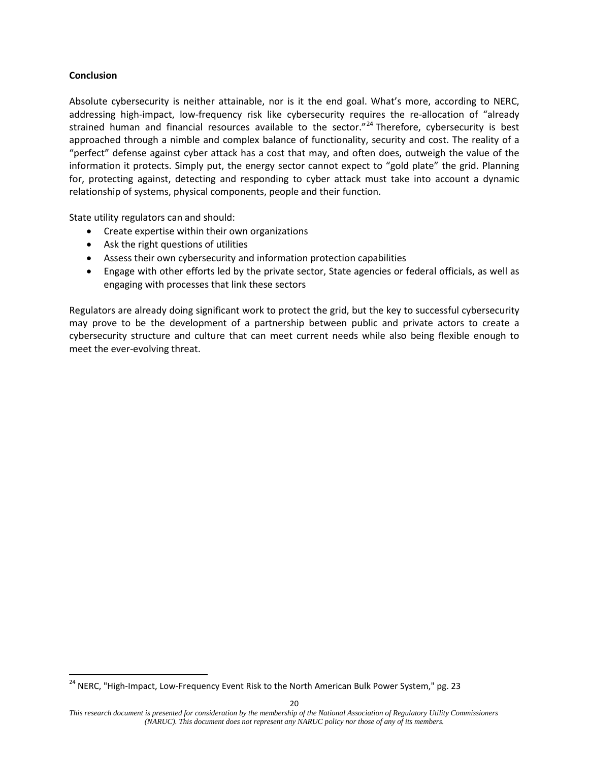### **Conclusion**

Absolute cybersecurity is neither attainable, nor is it the end goal. What's more, according to NERC, addressing high-impact, low-frequency risk like cybersecurity requires the re-allocation of "already strained human and financial resources available to the sector."<sup>[24](#page-22-0)</sup> Therefore, cybersecurity is best approached through a nimble and complex balance of functionality, security and cost. The reality of a "perfect" defense against cyber attack has a cost that may, and often does, outweigh the value of the information it protects. Simply put, the energy sector cannot expect to "gold plate" the grid. Planning for, protecting against, detecting and responding to cyber attack must take into account a dynamic relationship of systems, physical components, people and their function.

State utility regulators can and should:

- Create expertise within their own organizations
- Ask the right questions of utilities
- Assess their own cybersecurity and information protection capabilities
- Engage with other efforts led by the private sector, State agencies or federal officials, as well as engaging with processes that link these sectors

Regulators are already doing significant work to protect the grid, but the key to successful cybersecurity may prove to be the development of a partnership between public and private actors to create a cybersecurity structure and culture that can meet current needs while also being flexible enough to meet the ever-evolving threat.

<span id="page-22-0"></span><sup>&</sup>lt;sup>24</sup> NERC, "High-Impact, Low-Frequency Event Risk to the North American Bulk Power System," pg. 23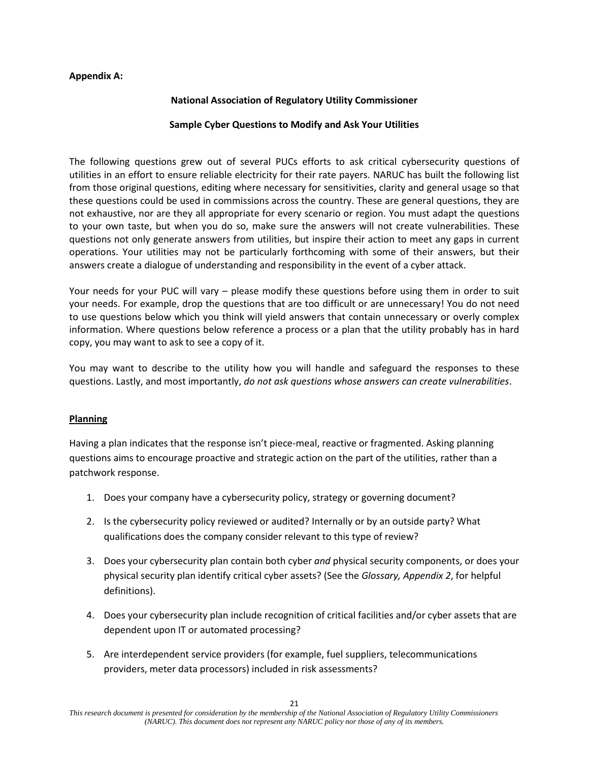# **Appendix A:**

# **National Association of Regulatory Utility Commissioner**

### **Sample Cyber Questions to Modify and Ask Your Utilities**

The following questions grew out of several PUCs efforts to ask critical cybersecurity questions of utilities in an effort to ensure reliable electricity for their rate payers. NARUC has built the following list from those original questions, editing where necessary for sensitivities, clarity and general usage so that these questions could be used in commissions across the country. These are general questions, they are not exhaustive, nor are they all appropriate for every scenario or region. You must adapt the questions to your own taste, but when you do so, make sure the answers will not create vulnerabilities. These questions not only generate answers from utilities, but inspire their action to meet any gaps in current operations. Your utilities may not be particularly forthcoming with some of their answers, but their answers create a dialogue of understanding and responsibility in the event of a cyber attack.

Your needs for your PUC will vary – please modify these questions before using them in order to suit your needs. For example, drop the questions that are too difficult or are unnecessary! You do not need to use questions below which you think will yield answers that contain unnecessary or overly complex information. Where questions below reference a process or a plan that the utility probably has in hard copy, you may want to ask to see a copy of it.

You may want to describe to the utility how you will handle and safeguard the responses to these questions. Lastly, and most importantly, *do not ask questions whose answers can create vulnerabilities*.

# **Planning**

Having a plan indicates that the response isn't piece-meal, reactive or fragmented. Asking planning questions aims to encourage proactive and strategic action on the part of the utilities, rather than a patchwork response.

- 1. Does your company have a cybersecurity policy, strategy or governing document?
- 2. Is the cybersecurity policy reviewed or audited? Internally or by an outside party? What qualifications does the company consider relevant to this type of review?
- 3. Does your cybersecurity plan contain both cyber *and* physical security components, or does your physical security plan identify critical cyber assets? (See the *Glossary, Appendix 2*, for helpful definitions).
- 4. Does your cybersecurity plan include recognition of critical facilities and/or cyber assets that are dependent upon IT or automated processing?
- 5. Are interdependent service providers (for example, fuel suppliers, telecommunications providers, meter data processors) included in risk assessments?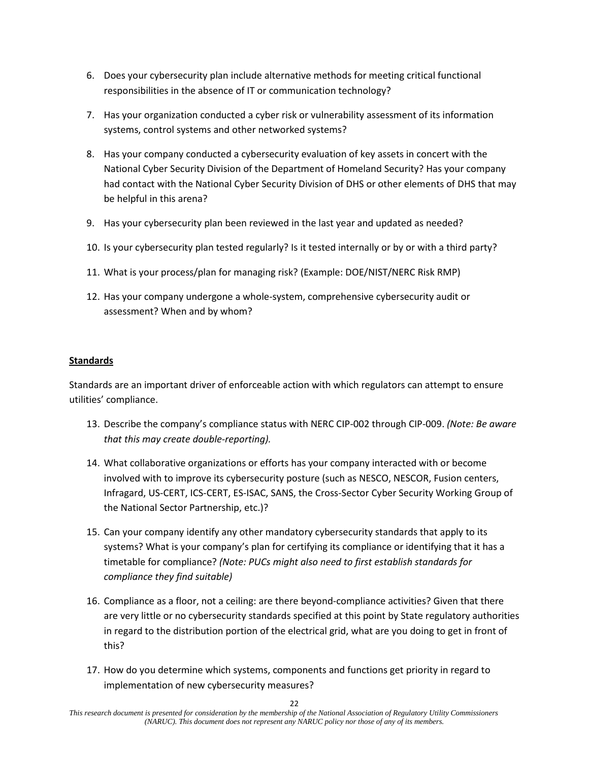- 6. Does your cybersecurity plan include alternative methods for meeting critical functional responsibilities in the absence of IT or communication technology?
- 7. Has your organization conducted a cyber risk or vulnerability assessment of its information systems, control systems and other networked systems?
- 8. Has your company conducted a cybersecurity evaluation of key assets in concert with the National Cyber Security Division of the Department of Homeland Security? Has your company had contact with the National Cyber Security Division of DHS or other elements of DHS that may be helpful in this arena?
- 9. Has your cybersecurity plan been reviewed in the last year and updated as needed?
- 10. Is your cybersecurity plan tested regularly? Is it tested internally or by or with a third party?
- 11. What is your process/plan for managing risk? (Example: DOE/NIST/NERC Risk RMP)
- 12. Has your company undergone a whole-system, comprehensive cybersecurity audit or assessment? When and by whom?

# **Standards**

Standards are an important driver of enforceable action with which regulators can attempt to ensure utilities' compliance.

- 13. Describe the company's compliance status with NERC CIP-002 through CIP-009. *(Note: Be aware that this may create double-reporting).*
- 14. What collaborative organizations or efforts has your company interacted with or become involved with to improve its cybersecurity posture (such as NESCO, NESCOR, Fusion centers, Infragard, US-CERT, ICS-CERT, ES-ISAC, SANS, the Cross-Sector Cyber Security Working Group of the National Sector Partnership, etc.)?
- 15. Can your company identify any other mandatory cybersecurity standards that apply to its systems? What is your company's plan for certifying its compliance or identifying that it has a timetable for compliance? *(Note: PUCs might also need to first establish standards for compliance they find suitable)*
- 16. Compliance as a floor, not a ceiling: are there beyond-compliance activities? Given that there are very little or no cybersecurity standards specified at this point by State regulatory authorities in regard to the distribution portion of the electrical grid, what are you doing to get in front of this?
- 17. How do you determine which systems, components and functions get priority in regard to implementation of new cybersecurity measures?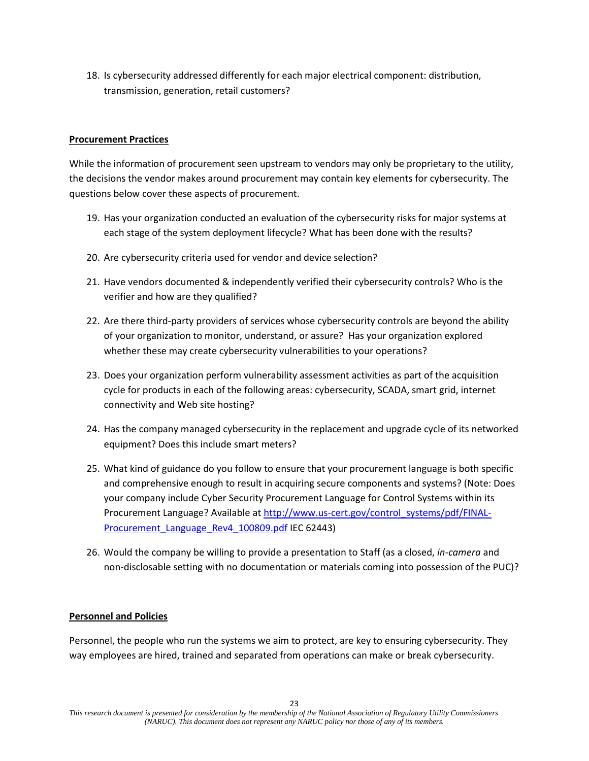18. Is cybersecurity addressed differently for each major electrical component: distribution, transmission, generation, retail customers?

# **Procurement Practices**

While the information of procurement seen upstream to vendors may only be proprietary to the utility, the decisions the vendor makes around procurement may contain key elements for cybersecurity. The questions below cover these aspects of procurement.

- 19. Has your organization conducted an evaluation of the cybersecurity risks for major systems at each stage of the system deployment lifecycle? What has been done with the results?
- 20. Are cybersecurity criteria used for vendor and device selection?
- 21. Have vendors documented & independently verified their cybersecurity controls? Who is the verifier and how are they qualified?
- 22. Are there third-party providers of services whose cybersecurity controls are beyond the ability of your organization to monitor, understand, or assure? Has your organization explored whether these may create cybersecurity vulnerabilities to your operations?
- 23. Does your organization perform vulnerability assessment activities as part of the acquisition cycle for products in each of the following areas: cybersecurity, SCADA, smart grid, internet connectivity and Web site hosting?
- 24. Has the company managed cybersecurity in the replacement and upgrade cycle of its networked equipment? Does this include smart meters?
- 25. What kind of guidance do you follow to ensure that your procurement language is both specific and comprehensive enough to result in acquiring secure components and systems? (Note: Does your company include Cyber Security Procurement Language for Control Systems within its Procurement Language? Available at [http://www.us-cert.gov/control\\_systems/pdf/FINAL-](http://www.us-cert.gov/control_systems/pdf/FINAL-Procurement_Language_Rev4_100809.pdf)[Procurement\\_Language\\_Rev4\\_100809.pdf](http://www.us-cert.gov/control_systems/pdf/FINAL-Procurement_Language_Rev4_100809.pdf) IEC 62443)
- 26. Would the company be willing to provide a presentation to Staff (as a closed, *in-camera* and non-disclosable setting with no documentation or materials coming into possession of the PUC)?

# **Personnel and Policies**

Personnel, the people who run the systems we aim to protect, are key to ensuring cybersecurity. They way employees are hired, trained and separated from operations can make or break cybersecurity.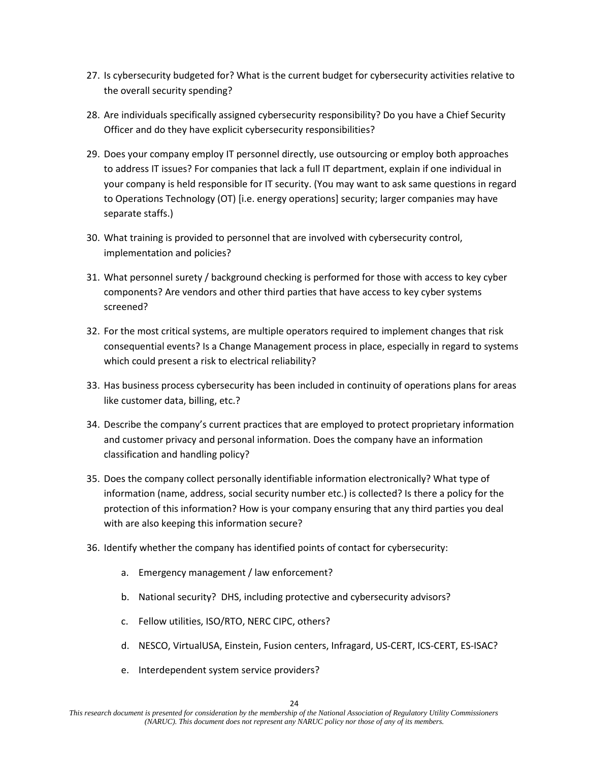- 27. Is cybersecurity budgeted for? What is the current budget for cybersecurity activities relative to the overall security spending?
- 28. Are individuals specifically assigned cybersecurity responsibility? Do you have a Chief Security Officer and do they have explicit cybersecurity responsibilities?
- 29. Does your company employ IT personnel directly, use outsourcing or employ both approaches to address IT issues? For companies that lack a full IT department, explain if one individual in your company is held responsible for IT security. (You may want to ask same questions in regard to Operations Technology (OT) [i.e. energy operations] security; larger companies may have separate staffs.)
- 30. What training is provided to personnel that are involved with cybersecurity control, implementation and policies?
- 31. What personnel surety / background checking is performed for those with access to key cyber components? Are vendors and other third parties that have access to key cyber systems screened?
- 32. For the most critical systems, are multiple operators required to implement changes that risk consequential events? Is a Change Management process in place, especially in regard to systems which could present a risk to electrical reliability?
- 33. Has business process cybersecurity has been included in continuity of operations plans for areas like customer data, billing, etc.?
- 34. Describe the company's current practices that are employed to protect proprietary information and customer privacy and personal information. Does the company have an information classification and handling policy?
- 35. Does the company collect personally identifiable information electronically? What type of information (name, address, social security number etc.) is collected? Is there a policy for the protection of this information? How is your company ensuring that any third parties you deal with are also keeping this information secure?
- 36. Identify whether the company has identified points of contact for cybersecurity:
	- a. Emergency management / law enforcement?
	- b. National security? DHS, including protective and cybersecurity advisors?
	- c. Fellow utilities, ISO/RTO, NERC CIPC, others?
	- d. NESCO, VirtualUSA, Einstein, Fusion centers, Infragard, US-CERT, ICS-CERT, ES-ISAC?
	- e. Interdependent system service providers?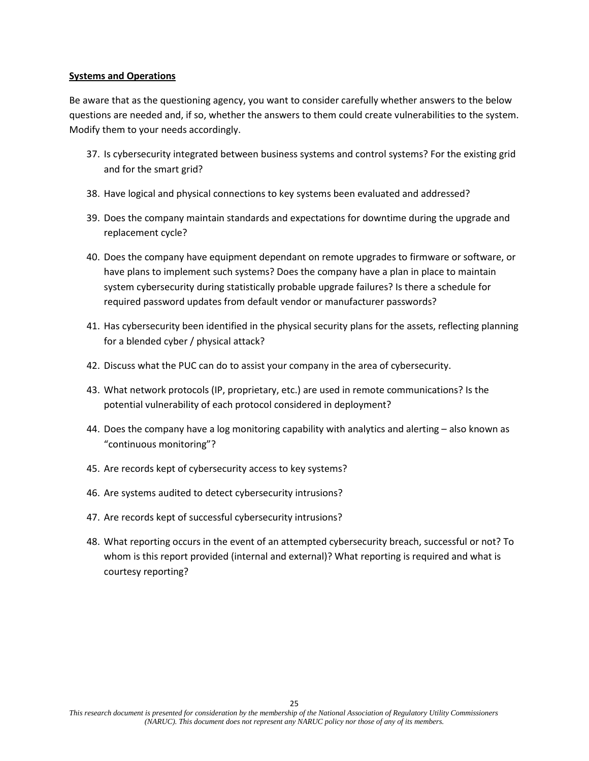### **Systems and Operations**

Be aware that as the questioning agency, you want to consider carefully whether answers to the below questions are needed and, if so, whether the answers to them could create vulnerabilities to the system. Modify them to your needs accordingly.

- 37. Is cybersecurity integrated between business systems and control systems? For the existing grid and for the smart grid?
- 38. Have logical and physical connections to key systems been evaluated and addressed?
- 39. Does the company maintain standards and expectations for downtime during the upgrade and replacement cycle?
- 40. Does the company have equipment dependant on remote upgrades to firmware or software, or have plans to implement such systems? Does the company have a plan in place to maintain system cybersecurity during statistically probable upgrade failures? Is there a schedule for required password updates from default vendor or manufacturer passwords?
- 41. Has cybersecurity been identified in the physical security plans for the assets, reflecting planning for a blended cyber / physical attack?
- 42. Discuss what the PUC can do to assist your company in the area of cybersecurity.
- 43. What network protocols (IP, proprietary, etc.) are used in remote communications? Is the potential vulnerability of each protocol considered in deployment?
- 44. Does the company have a log monitoring capability with analytics and alerting also known as "continuous monitoring"?
- 45. Are records kept of cybersecurity access to key systems?
- 46. Are systems audited to detect cybersecurity intrusions?
- 47. Are records kept of successful cybersecurity intrusions?
- 48. What reporting occurs in the event of an attempted cybersecurity breach, successful or not? To whom is this report provided (internal and external)? What reporting is required and what is courtesy reporting?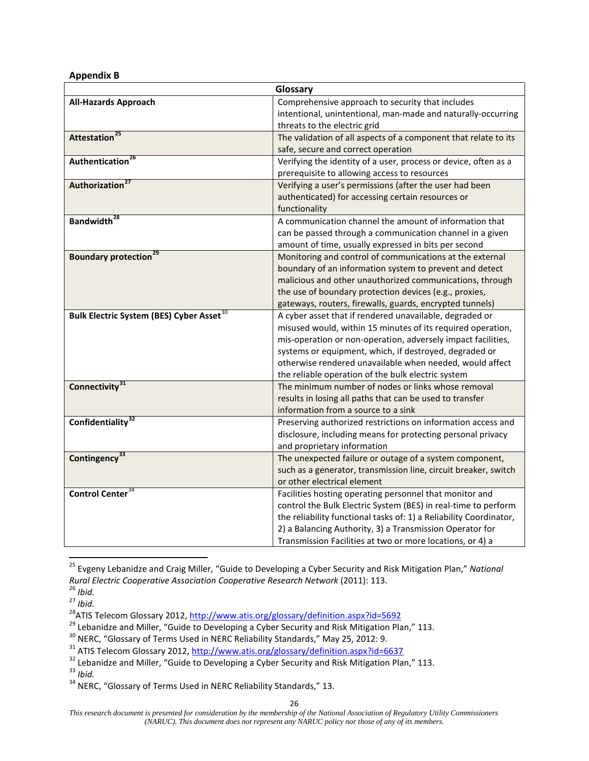| <b>Appendix B</b> |  |
|-------------------|--|
|-------------------|--|

|                                                      | Glossary                                                                                                                             |
|------------------------------------------------------|--------------------------------------------------------------------------------------------------------------------------------------|
| <b>All-Hazards Approach</b>                          | Comprehensive approach to security that includes                                                                                     |
|                                                      | intentional, unintentional, man-made and naturally-occurring                                                                         |
|                                                      | threats to the electric grid                                                                                                         |
| Attestation <sup>25</sup>                            | The validation of all aspects of a component that relate to its                                                                      |
|                                                      | safe, secure and correct operation                                                                                                   |
| Authentication <sup>26</sup>                         | Verifying the identity of a user, process or device, often as a                                                                      |
|                                                      | prerequisite to allowing access to resources                                                                                         |
| Authorization <sup>27</sup>                          | Verifying a user's permissions (after the user had been                                                                              |
|                                                      | authenticated) for accessing certain resources or                                                                                    |
|                                                      | functionality                                                                                                                        |
| Bandwidth <sup>28</sup>                              | A communication channel the amount of information that                                                                               |
|                                                      | can be passed through a communication channel in a given                                                                             |
|                                                      | amount of time, usually expressed in bits per second                                                                                 |
| <b>Boundary protection</b> <sup>29</sup>             | Monitoring and control of communications at the external                                                                             |
|                                                      | boundary of an information system to prevent and detect                                                                              |
|                                                      | malicious and other unauthorized communications, through                                                                             |
|                                                      | the use of boundary protection devices (e.g., proxies,                                                                               |
|                                                      | gateways, routers, firewalls, guards, encrypted tunnels)                                                                             |
| Bulk Electric System (BES) Cyber Asset <sup>30</sup> | A cyber asset that if rendered unavailable, degraded or                                                                              |
|                                                      | misused would, within 15 minutes of its required operation,                                                                          |
|                                                      | mis-operation or non-operation, adversely impact facilities,                                                                         |
|                                                      | systems or equipment, which, if destroyed, degraded or                                                                               |
|                                                      | otherwise rendered unavailable when needed, would affect                                                                             |
|                                                      | the reliable operation of the bulk electric system                                                                                   |
| Connectivity <sup>31</sup>                           | The minimum number of nodes or links whose removal                                                                                   |
|                                                      | results in losing all paths that can be used to transfer                                                                             |
|                                                      | information from a source to a sink                                                                                                  |
| Confidentiality <sup>32</sup>                        | Preserving authorized restrictions on information access and                                                                         |
|                                                      | disclosure, including means for protecting personal privacy                                                                          |
|                                                      | and proprietary information                                                                                                          |
| Contingency <sup>33</sup>                            | The unexpected failure or outage of a system component,                                                                              |
|                                                      | such as a generator, transmission line, circuit breaker, switch<br>or other electrical element                                       |
| Control Center <sup>34</sup>                         |                                                                                                                                      |
|                                                      | Facilities hosting operating personnel that monitor and                                                                              |
|                                                      | control the Bulk Electric System (BES) in real-time to perform<br>the reliability functional tasks of: 1) a Reliability Coordinator, |
|                                                      | 2) a Balancing Authority, 3) a Transmission Operator for                                                                             |
|                                                      | Transmission Facilities at two or more locations, or 4) a                                                                            |
|                                                      |                                                                                                                                      |

<span id="page-28-0"></span> <sup>25</sup> Evgeny Lebanidze and Craig Miller, "Guide to Developing a Cyber Security and Risk Mitigation Plan," *National Rural Electric Cooperative Association Cooperative Research Network* (2011): 113. <sup>26</sup> *Ibid.*

<span id="page-28-2"></span>

<span id="page-28-1"></span><sup>&</sup>lt;sup>26</sup> *Ibid.*<br><sup>26</sup> *Ibid.*<br><sup>27</sup> *Ibid.*<br><sup>28</sup> ATIS Telecom Glossary 2012, <u>http://www.atis.org/glossary/definition.aspx?id=5692</u>

<span id="page-28-7"></span><span id="page-28-6"></span>

<span id="page-28-5"></span><span id="page-28-4"></span><span id="page-28-3"></span><sup>&</sup>lt;sup>29</sup> Lebanidze and Miller, "Guide to Developing a Cyber Security and Risk Mitigation Plan," 113.<br><sup>30</sup> NERC, "Glossary of Terms Used in NERC Reliability Standards," May 25, 2012: 9.<br><sup>31</sup> ATIS Telecom Glossary 2012, <u>http://</u>

<span id="page-28-9"></span><span id="page-28-8"></span><sup>&</sup>lt;sup>34</sup> NERC, "Glossary of Terms Used in NERC Reliability Standards," 13.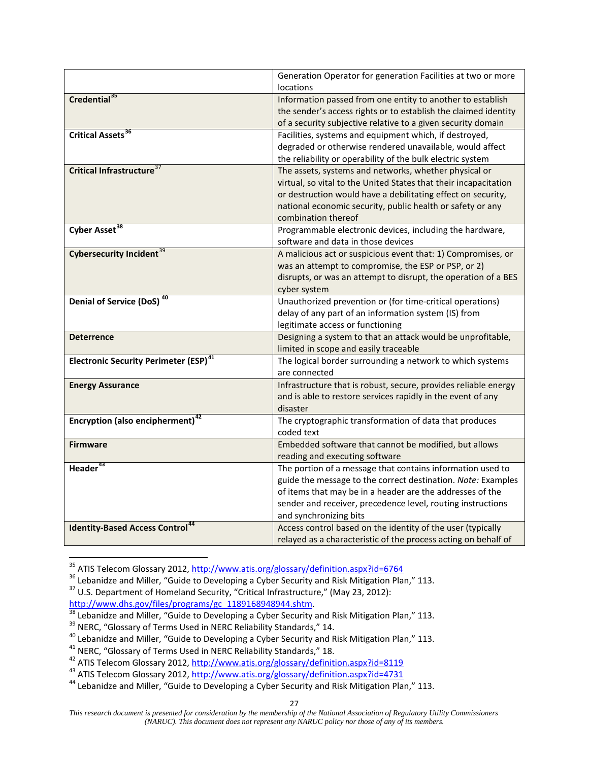|                                                          | Generation Operator for generation Facilities at two or more     |
|----------------------------------------------------------|------------------------------------------------------------------|
|                                                          | locations                                                        |
| Credential <sup>35</sup>                                 | Information passed from one entity to another to establish       |
|                                                          | the sender's access rights or to establish the claimed identity  |
|                                                          | of a security subjective relative to a given security domain     |
| <b>Critical Assets<sup>36</sup></b>                      | Facilities, systems and equipment which, if destroyed,           |
|                                                          | degraded or otherwise rendered unavailable, would affect         |
|                                                          | the reliability or operability of the bulk electric system       |
| Critical Infrastructure <sup>37</sup>                    | The assets, systems and networks, whether physical or            |
|                                                          | virtual, so vital to the United States that their incapacitation |
|                                                          | or destruction would have a debilitating effect on security,     |
|                                                          | national economic security, public health or safety or any       |
|                                                          | combination thereof                                              |
| Cyber Asset <sup>38</sup>                                | Programmable electronic devices, including the hardware,         |
|                                                          | software and data in those devices                               |
| Cybersecurity Incident <sup>39</sup>                     | A malicious act or suspicious event that: 1) Compromises, or     |
|                                                          | was an attempt to compromise, the ESP or PSP, or 2)              |
|                                                          | disrupts, or was an attempt to disrupt, the operation of a BES   |
|                                                          | cyber system                                                     |
| Denial of Service (DoS) <sup>40</sup>                    | Unauthorized prevention or (for time-critical operations)        |
|                                                          | delay of any part of an information system (IS) from             |
|                                                          | legitimate access or functioning                                 |
| <b>Deterrence</b>                                        | Designing a system to that an attack would be unprofitable,      |
|                                                          | limited in scope and easily traceable                            |
| <b>Electronic Security Perimeter (ESP)</b> <sup>41</sup> | The logical border surrounding a network to which systems        |
|                                                          | are connected                                                    |
| <b>Energy Assurance</b>                                  | Infrastructure that is robust, secure, provides reliable energy  |
|                                                          | and is able to restore services rapidly in the event of any      |
|                                                          | disaster                                                         |
| Encryption (also encipherment) <sup>42</sup>             | The cryptographic transformation of data that produces           |
|                                                          | coded text                                                       |
| <b>Firmware</b>                                          | Embedded software that cannot be modified, but allows            |
|                                                          | reading and executing software                                   |
| Header <sup>43</sup>                                     | The portion of a message that contains information used to       |
|                                                          | guide the message to the correct destination. Note: Examples     |
|                                                          | of items that may be in a header are the addresses of the        |
|                                                          | sender and receiver, precedence level, routing instructions      |
|                                                          | and synchronizing bits                                           |
| <b>Identity-Based Access Control</b> <sup>44</sup>       | Access control based on the identity of the user (typically      |
|                                                          | relayed as a characteristic of the process acting on behalf of   |

<span id="page-29-0"></span><sup>&</sup>lt;sup>35</sup> ATIS Telecom Glossary 2012[, http://www.atis.org/glossary/definition.aspx?id=6764](http://www.atis.org/glossary/definition.aspx?id=6764)<br><sup>36</sup> Lebanidze and Miller, "Guide to Developing a Cyber Security and Risk Mitigation Plan," 113.

<span id="page-29-2"></span><span id="page-29-1"></span><sup>&</sup>lt;sup>37</sup> U.S. Department of Homeland Security, "Critical Infrastructure," (May 23, 2012):<br> [http://www.dhs.gov/files/programs/gc\\_1189168948944.shtm.](http://www.dhs.gov/files/programs/gc_1189168948944.shtm)<br>
<sup>38</sup> Lebanidze and Miller, "Guide to Developing a Cyber Security and Risk Mi

<span id="page-29-3"></span>

<span id="page-29-4"></span>

<span id="page-29-5"></span>

<span id="page-29-6"></span>

<span id="page-29-7"></span>

<span id="page-29-8"></span>

<span id="page-29-9"></span>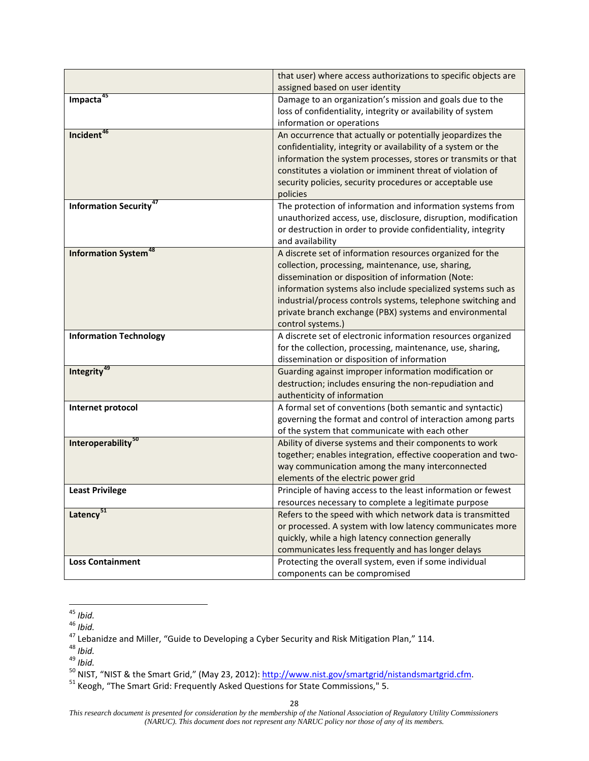|                                        | that user) where access authorizations to specific objects are |
|----------------------------------------|----------------------------------------------------------------|
|                                        | assigned based on user identity                                |
| Impacta <sup>45</sup>                  | Damage to an organization's mission and goals due to the       |
|                                        | loss of confidentiality, integrity or availability of system   |
|                                        | information or operations                                      |
| Incident <sup>46</sup>                 | An occurrence that actually or potentially jeopardizes the     |
|                                        | confidentiality, integrity or availability of a system or the  |
|                                        | information the system processes, stores or transmits or that  |
|                                        | constitutes a violation or imminent threat of violation of     |
|                                        | security policies, security procedures or acceptable use       |
|                                        | policies                                                       |
| Information Security <sup>47</sup>     | The protection of information and information systems from     |
|                                        | unauthorized access, use, disclosure, disruption, modification |
|                                        | or destruction in order to provide confidentiality, integrity  |
|                                        | and availability                                               |
| <b>Information System<sup>48</sup></b> | A discrete set of information resources organized for the      |
|                                        | collection, processing, maintenance, use, sharing,             |
|                                        | dissemination or disposition of information (Note:             |
|                                        | information systems also include specialized systems such as   |
|                                        | industrial/process controls systems, telephone switching and   |
|                                        | private branch exchange (PBX) systems and environmental        |
|                                        | control systems.)                                              |
| <b>Information Technology</b>          | A discrete set of electronic information resources organized   |
|                                        | for the collection, processing, maintenance, use, sharing,     |
|                                        | dissemination or disposition of information                    |
| Integrity <sup>49</sup>                | Guarding against improper information modification or          |
|                                        | destruction; includes ensuring the non-repudiation and         |
|                                        | authenticity of information                                    |
| Internet protocol                      | A formal set of conventions (both semantic and syntactic)      |
|                                        | governing the format and control of interaction among parts    |
|                                        | of the system that communicate with each other                 |
| Interoperability <sup>50</sup>         | Ability of diverse systems and their components to work        |
|                                        | together; enables integration, effective cooperation and two-  |
|                                        | way communication among the many interconnected                |
|                                        | elements of the electric power grid                            |
| <b>Least Privilege</b>                 | Principle of having access to the least information or fewest  |
|                                        | resources necessary to complete a legitimate purpose           |
| Latency <sup>51</sup>                  | Refers to the speed with which network data is transmitted     |
|                                        | or processed. A system with low latency communicates more      |
|                                        | quickly, while a high latency connection generally             |
|                                        | communicates less frequently and has longer delays             |
| <b>Loss Containment</b>                | Protecting the overall system, even if some individual         |
|                                        | components can be compromised                                  |

 <sup>45</sup> *Ibid.*

<span id="page-30-1"></span><span id="page-30-0"></span><sup>46</sup> *Ibid.*

<span id="page-30-2"></span><sup>47</sup> Lebanidze and Miller, "Guide to Developing a Cyber Security and Risk Mitigation Plan," 114. <sup>48</sup> *Ibid.*

<span id="page-30-3"></span>

<span id="page-30-4"></span><sup>49</sup> *Ibid.*

<span id="page-30-5"></span><sup>&</sup>lt;sup>50</sup> NIST, "NIST & the Smart Grid," (May 23, 2012): <u>http://www.nist.gov/smartgrid/nistandsmartgrid.cfm</u>.<br><sup>51</sup> Keogh, "The Smart Grid: Frequently Asked Questions for State Commissions," 5.

<span id="page-30-6"></span>

*This research document is presented for consideration by the membership of the National Association of Regulatory Utility Commissioners (NARUC). This document does not represent any NARUC policy nor those of any of its members.*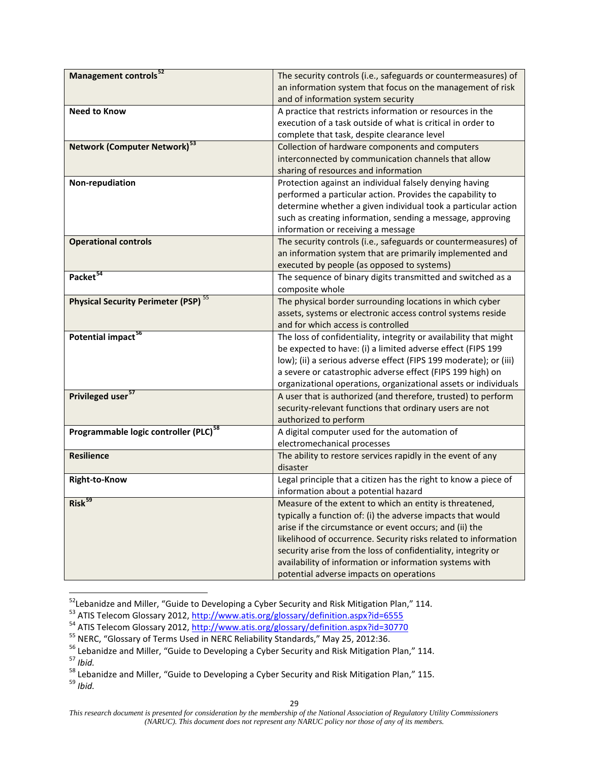| Management controls <sup>52</sup>                 | The security controls (i.e., safeguards or countermeasures) of    |
|---------------------------------------------------|-------------------------------------------------------------------|
|                                                   |                                                                   |
|                                                   | an information system that focus on the management of risk        |
|                                                   | and of information system security                                |
| <b>Need to Know</b>                               | A practice that restricts information or resources in the         |
|                                                   | execution of a task outside of what is critical in order to       |
|                                                   | complete that task, despite clearance level                       |
| Network (Computer Network) <sup>53</sup>          | Collection of hardware components and computers                   |
|                                                   | interconnected by communication channels that allow               |
|                                                   | sharing of resources and information                              |
| Non-repudiation                                   | Protection against an individual falsely denying having           |
|                                                   | performed a particular action. Provides the capability to         |
|                                                   | determine whether a given individual took a particular action     |
|                                                   | such as creating information, sending a message, approving        |
|                                                   | information or receiving a message                                |
| <b>Operational controls</b>                       | The security controls (i.e., safeguards or countermeasures) of    |
|                                                   | an information system that are primarily implemented and          |
|                                                   | executed by people (as opposed to systems)                        |
| Packet <sup>54</sup>                              | The sequence of binary digits transmitted and switched as a       |
|                                                   | composite whole                                                   |
| Physical Security Perimeter (PSP) <sup>55</sup>   | The physical border surrounding locations in which cyber          |
|                                                   | assets, systems or electronic access control systems reside       |
|                                                   | and for which access is controlled                                |
| Potential impact <sup>56</sup>                    | The loss of confidentiality, integrity or availability that might |
|                                                   | be expected to have: (i) a limited adverse effect (FIPS 199       |
|                                                   | low); (ii) a serious adverse effect (FIPS 199 moderate); or (iii) |
|                                                   | a severe or catastrophic adverse effect (FIPS 199 high) on        |
|                                                   | organizational operations, organizational assets or individuals   |
| Privileged user <sup>57</sup>                     | A user that is authorized (and therefore, trusted) to perform     |
|                                                   | security-relevant functions that ordinary users are not           |
|                                                   | authorized to perform                                             |
| Programmable logic controller (PLC) <sup>58</sup> |                                                                   |
|                                                   | A digital computer used for the automation of                     |
|                                                   | electromechanical processes                                       |
| <b>Resilience</b>                                 | The ability to restore services rapidly in the event of any       |
|                                                   | disaster                                                          |
| <b>Right-to-Know</b>                              | Legal principle that a citizen has the right to know a piece of   |
|                                                   | information about a potential hazard                              |
| Risk <sup>59</sup>                                | Measure of the extent to which an entity is threatened,           |
|                                                   | typically a function of: (i) the adverse impacts that would       |
|                                                   | arise if the circumstance or event occurs; and (ii) the           |
|                                                   | likelihood of occurrence. Security risks related to information   |
|                                                   | security arise from the loss of confidentiality, integrity or     |
|                                                   | availability of information or information systems with           |
|                                                   | potential adverse impacts on operations                           |

<span id="page-31-1"></span>

<span id="page-31-2"></span>

<span id="page-31-3"></span>

<span id="page-31-0"></span><sup>&</sup>lt;sup>52</sup>Lebanidze and Miller, "Guide to Developing a Cyber Security and Risk Mitigation Plan," 114.<br><sup>53</sup> ATIS Telecom Glossary 2012, <u>http://www.atis.org/glossary/definition.aspx?id=6555</u><br><sup>54</sup> ATIS Telecom Glossary 2012, <u>htt</u>

<span id="page-31-6"></span><span id="page-31-5"></span><span id="page-31-4"></span>

<span id="page-31-7"></span><sup>58</sup> Lebanidze and Miller, "Guide to Developing a Cyber Security and Risk Mitigation Plan," 115. <sup>59</sup> *Ibid.*